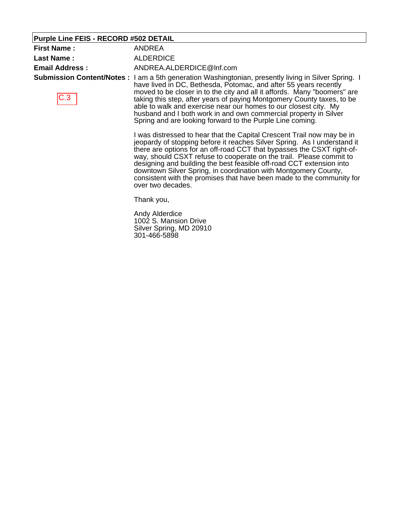### **Purple Line FEIS - RECORD #502 DETAIL**

| <b>First Name:</b>    | <b>ANDREA</b>                                                                                                                                                                                                                                                                                                                                                                                                                                                                                                                              |
|-----------------------|--------------------------------------------------------------------------------------------------------------------------------------------------------------------------------------------------------------------------------------------------------------------------------------------------------------------------------------------------------------------------------------------------------------------------------------------------------------------------------------------------------------------------------------------|
| <b>Last Name:</b>     | <b>ALDERDICE</b>                                                                                                                                                                                                                                                                                                                                                                                                                                                                                                                           |
| <b>Email Address:</b> | ANDREA.ALDERDICE@Inf.com                                                                                                                                                                                                                                                                                                                                                                                                                                                                                                                   |
| C.3                   | <b>Submission Content/Notes</b> : I am a 5th generation Washingtonian, presently living in Silver Spring. I<br>have lived in DC, Bethesda, Potomac, and after 55 years recently<br>moved to be closer in to the city and all it affords. Many "boomers" are<br>taking this step, after years of paying Montgomery County taxes, to be<br>able to walk and exercise near our homes to our closest city. My<br>husband and I both work in and own commercial property in Silver<br>Spring and are looking forward to the Purple Line coming. |
|                       | I was distressed to hear that the Capital Crescent Trail now may be in<br>jeopardy of stopping before it reaches Silver Spring. As I understand it<br>there are options for an off-road CCT that bypasses the CSXT right-of-<br>way, should CSXT refuse to cooperate on the trail. Please commit to<br>designing and building the best fessible off read CCT outprojen into                                                                                                                                                                |

designing and building the best feasible off-road CCT extension into downtown Silver Spring, in coordination with Montgomery County, consistent with the promises that have been made to the community for over two decades.

Thank you,

Andy Alderdice 1002 S. Mansion Drive Silver Spring, MD 20910 301-466-5898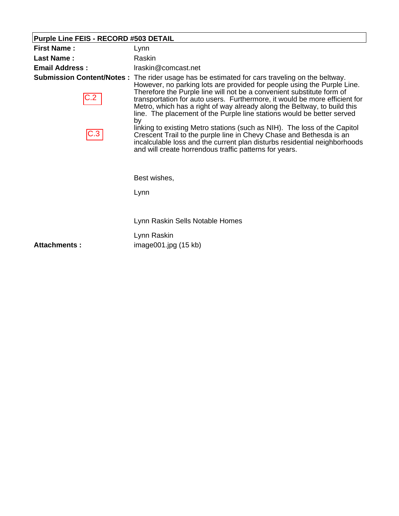# **Purple Line FEIS - RECORD #503 DETAIL**

| <b>First Name:</b>               | Lynn                                                                                                                                                                                                                                                                                    |
|----------------------------------|-----------------------------------------------------------------------------------------------------------------------------------------------------------------------------------------------------------------------------------------------------------------------------------------|
| <b>Last Name:</b>                | Raskin                                                                                                                                                                                                                                                                                  |
| <b>Email Address:</b>            | Iraskin@comcast.net                                                                                                                                                                                                                                                                     |
| <b>Submission Content/Notes:</b> | The rider usage has be estimated for cars traveling on the beltway.<br>However, no parking lots are provided for people using the Purple Line.<br>Therefore the Purple line will not be a convenient substitute form of                                                                 |
|                                  | transportation for auto users. Furthermore, it would be more efficient for<br>Metro, which has a right of way already along the Beltway, to build this<br>line. The placement of the Purple line stations would be better served<br>by                                                  |
|                                  | linking to existing Metro stations (such as NIH). The loss of the Capitol<br>Crescent Trail to the purple line in Chevy Chase and Bethesda is an<br>incalculable loss and the current plan disturbs residential neighborhoods<br>and will create horrendous traffic patterns for years. |
|                                  | Best wishes,                                                                                                                                                                                                                                                                            |
|                                  | Lynn                                                                                                                                                                                                                                                                                    |
|                                  | Lynn Raskin Sells Notable Homes                                                                                                                                                                                                                                                         |
|                                  |                                                                                                                                                                                                                                                                                         |
| Attachments:                     | Lynn Raskin<br>image001.jpg(15 kb)                                                                                                                                                                                                                                                      |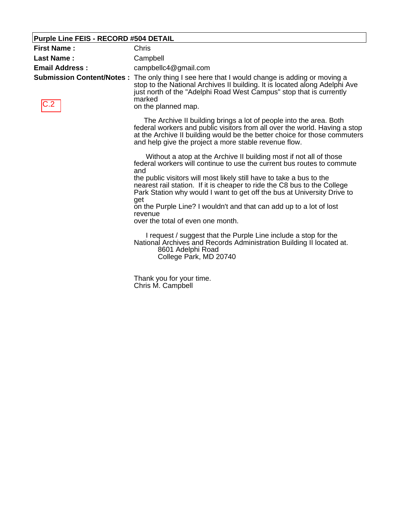### **Purple Line FEIS - RECORD #504 DETAIL**

| <b>First Name:</b>    | Chris                                                                                                                                                                                                                                                                                                                                                                                                                                                                                                                                                                               |
|-----------------------|-------------------------------------------------------------------------------------------------------------------------------------------------------------------------------------------------------------------------------------------------------------------------------------------------------------------------------------------------------------------------------------------------------------------------------------------------------------------------------------------------------------------------------------------------------------------------------------|
| <b>Last Name:</b>     | Campbell                                                                                                                                                                                                                                                                                                                                                                                                                                                                                                                                                                            |
| <b>Email Address:</b> | campbellc4@gmail.com                                                                                                                                                                                                                                                                                                                                                                                                                                                                                                                                                                |
| C.2                   | Submission Content/Notes: The only thing I see here that I would change is adding or moving a<br>stop to the National Archives II building. It is located along Adelphi Ave<br>just north of the "Adelphi Road West Campus" stop that is currently<br>marked<br>on the planned map.                                                                                                                                                                                                                                                                                                 |
|                       | The Archive II building brings a lot of people into the area. Both<br>federal workers and public visitors from all over the world. Having a stop<br>at the Archive II building would be the better choice for those commuters<br>and help give the project a more stable revenue flow.                                                                                                                                                                                                                                                                                              |
|                       | Without a atop at the Archive II building most if not all of those<br>federal workers will continue to use the current bus routes to commute<br>and<br>the public visitors will most likely still have to take a bus to the<br>nearest rail station. If it is cheaper to ride the C8 bus to the College<br>Park Station why would I want to get off the bus at University Drive to<br>get<br>on the Purple Line? I wouldn't and that can add up to a lot of lost<br>revenue<br>over the total of even one month.<br>I request / suggest that the Purple Line include a stop for the |
|                       | National Archives and Records Administration Building II located at.<br>8601 Adelphi Road<br>College Park, MD 20740                                                                                                                                                                                                                                                                                                                                                                                                                                                                 |
|                       | Thank you for your time.<br>Chris M. Campbell                                                                                                                                                                                                                                                                                                                                                                                                                                                                                                                                       |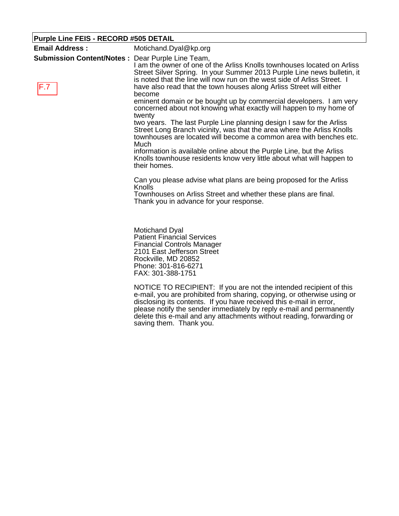| <b>Purple Line FEIS - RECORD #505 DETAIL</b> |                                                                                                                                                                                                                                                                                                                                           |
|----------------------------------------------|-------------------------------------------------------------------------------------------------------------------------------------------------------------------------------------------------------------------------------------------------------------------------------------------------------------------------------------------|
| <b>Email Address:</b>                        | Motichand.Dyal@kp.org                                                                                                                                                                                                                                                                                                                     |
| <b>Submission Content/Notes:</b><br>F.7      | Dear Purple Line Team,<br>I am the owner of one of the Arliss Knolls townhouses located on Arliss<br>Street Silver Spring. In your Summer 2013 Purple Line news bulletin, it<br>is noted that the line will now run on the west side of Arliss Street. I<br>have also read that the town houses along Arliss Street will either<br>become |
|                                              | eminent domain or be bought up by commercial developers. I am very<br>concerned about not knowing what exactly will happen to my home of<br>twenty                                                                                                                                                                                        |
|                                              | two years. The last Purple Line planning design I saw for the Arliss<br>Street Long Branch vicinity, was that the area where the Arliss Knolls<br>townhouses are located will become a common area with benches etc.<br>Much                                                                                                              |
|                                              | information is available online about the Purple Line, but the Arliss<br>Knolls townhouse residents know very little about what will happen to<br>their homes.                                                                                                                                                                            |
|                                              | Can you please advise what plans are being proposed for the Arliss<br>Knolls                                                                                                                                                                                                                                                              |
|                                              | Townhouses on Arliss Street and whether these plans are final.<br>Thank you in advance for your response.                                                                                                                                                                                                                                 |
|                                              | <b>Motichand Dyal</b><br><b>Patient Financial Services</b><br><b>Financial Controls Manager</b><br>2101 East Jefferson Street<br>Rockville, MD 20852<br>Phone: 301-816-6271<br>FAX: 301-388-1751                                                                                                                                          |
|                                              | NOTICE TO RECIPIENT: If you are not the intended recipient of this<br>e-mail, you are prohibited from sharing, copying, or otherwise using or                                                                                                                                                                                             |

e-mail, you are prohibited from sharing, copying, or otherwise using or disclosing its contents. If you have received this e-mail in error, please notify the sender immediately by reply e-mail and permanently delete this e-mail and any attachments without reading, forwarding or saving them. Thank you.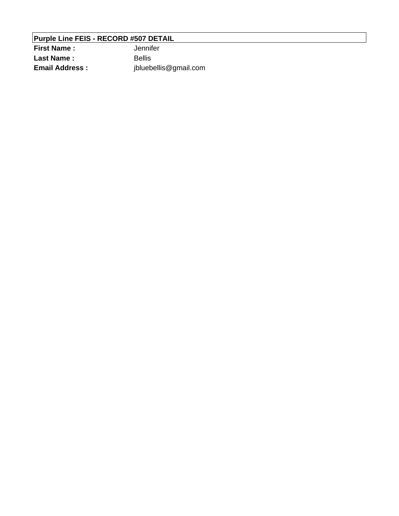### **Purple Line FEIS - RECORD #507 DETAIL**

**First Name :** Jennifer Last Name : Bellis **Email Address :** jbluebellis@gmail.com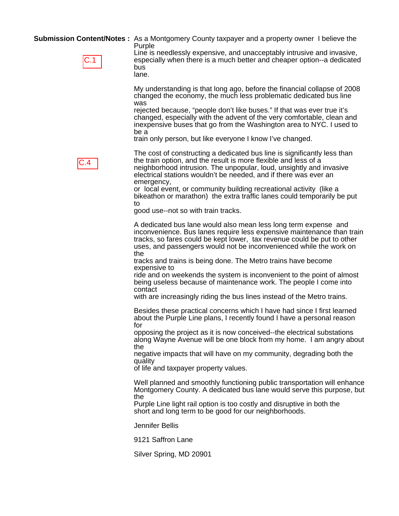**Submission Content/Notes :** As a Montgomery County taxpayer and a property owner I believe the Purple

| I |
|---|
|   |

Line is needlessly expensive, and unacceptably intrusive and invasive, especially when there is a much better and cheaper option--a dedicated bus lane.

My understanding is that long ago, before the financial collapse of 2008 changed the economy, the much less problematic dedicated bus line was

rejected because, "people don't like buses." If that was ever true it's changed, especially with the advent of the very comfortable, clean and inexpensive buses that go from the Washington area to NYC. I used to be a

train only person, but like everyone I know I've changed.



The cost of constructing a dedicated bus line is significantly less than the train option, and the result is more flexible and less of a neighborhood intrusion. The unpopular, loud, unsightly and invasive electrical stations wouldn't be needed, and if there was ever an emergency,

or local event, or community building recreational activity (like a bikeathon or marathon) the extra traffic lanes could temporarily be put to

good use--not so with train tracks.

A dedicated bus lane would also mean less long term expense and inconvenience. Bus lanes require less expensive maintenance than train tracks, so fares could be kept lower, tax revenue could be put to other uses, and passengers would not be inconvenienced while the work on the

tracks and trains is being done. The Metro trains have become expensive to

ride and on weekends the system is inconvenient to the point of almost being useless because of maintenance work. The people I come into contact

with are increasingly riding the bus lines instead of the Metro trains.

Besides these practical concerns which I have had since I first learned about the Purple Line plans, I recently found I have a personal reason for

opposing the project as it is now conceived--the electrical substations along Wayne Avenue will be one block from my home. I am angry about the

negative impacts that will have on my community, degrading both the quality

of life and taxpayer property values.

Well planned and smoothly functioning public transportation will enhance Montgomery County. A dedicated bus lane would serve this purpose, but the

Purple Line light rail option is too costly and disruptive in both the short and long term to be good for our neighborhoods.

Jennifer Bellis

9121 Saffron Lane

Silver Spring, MD 20901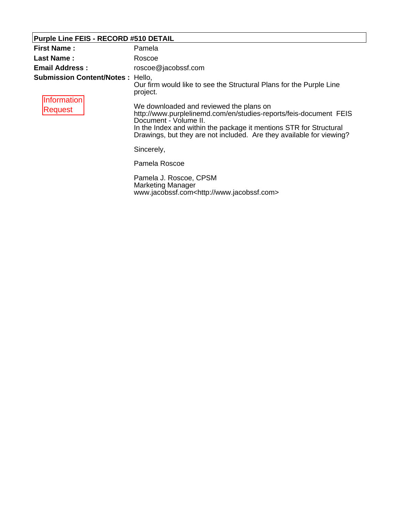# **Purple Line FEIS - RECORD #510 DETAIL**

| <b>First Name:</b>                                                | Pamela                                                                                                                                                                                                                                                                              |
|-------------------------------------------------------------------|-------------------------------------------------------------------------------------------------------------------------------------------------------------------------------------------------------------------------------------------------------------------------------------|
| Last Name:                                                        | Roscoe                                                                                                                                                                                                                                                                              |
| <b>Email Address:</b>                                             | roscoe@jacobssf.com                                                                                                                                                                                                                                                                 |
| <b>Submission Content/Notes: Hello,</b><br>Information<br>Request | Our firm would like to see the Structural Plans for the Purple Line<br>project.                                                                                                                                                                                                     |
|                                                                   | We downloaded and reviewed the plans on<br>http://www.purplelinemd.com/en/studies-reports/feis-document FEIS<br>Document - Volume II.<br>In the Index and within the package it mentions STR for Structural<br>Drawings, but they are not included. Are they available for viewing? |
|                                                                   | Sincerely,                                                                                                                                                                                                                                                                          |
|                                                                   | Pamela Roscoe                                                                                                                                                                                                                                                                       |
|                                                                   | Pamela J. Roscoe, CPSM<br>Marketing Manager<br>www.jacobssf.com <http: www.jacobssf.com=""></http:>                                                                                                                                                                                 |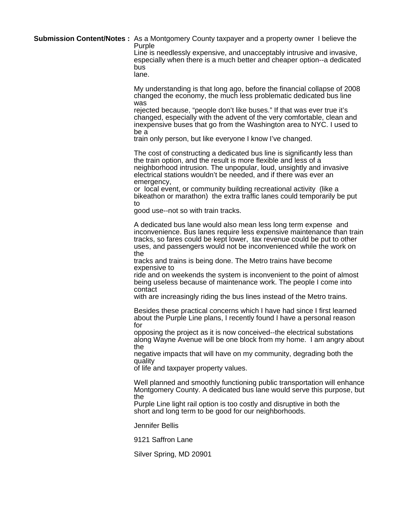**Submission Content/Notes :** As a Montgomery County taxpayer and a property owner I believe the Purple

Line is needlessly expensive, and unacceptably intrusive and invasive, especially when there is a much better and cheaper option--a dedicated bus

lane.

My understanding is that long ago, before the financial collapse of 2008 changed the economy, the much less problematic dedicated bus line was

rejected because, "people don't like buses." If that was ever true it's changed, especially with the advent of the very comfortable, clean and inexpensive buses that go from the Washington area to NYC. I used to be a

train only person, but like everyone I know I've changed.

The cost of constructing a dedicated bus line is significantly less than the train option, and the result is more flexible and less of a neighborhood intrusion. The unpopular, loud, unsightly and invasive electrical stations wouldn't be needed, and if there was ever an emergency,

or local event, or community building recreational activity (like a bikeathon or marathon) the extra traffic lanes could temporarily be put to

good use--not so with train tracks.

A dedicated bus lane would also mean less long term expense and inconvenience. Bus lanes require less expensive maintenance than train tracks, so fares could be kept lower, tax revenue could be put to other uses, and passengers would not be inconvenienced while the work on the

tracks and trains is being done. The Metro trains have become expensive to

ride and on weekends the system is inconvenient to the point of almost being useless because of maintenance work. The people I come into contact

with are increasingly riding the bus lines instead of the Metro trains.

Besides these practical concerns which I have had since I first learned about the Purple Line plans, I recently found I have a personal reason for

opposing the project as it is now conceived--the electrical substations along Wayne Avenue will be one block from my home. I am angry about the

negative impacts that will have on my community, degrading both the quality

of life and taxpayer property values.

Well planned and smoothly functioning public transportation will enhance Montgomery County. A dedicated bus lane would serve this purpose, but the

Purple Line light rail option is too costly and disruptive in both the short and long term to be good for our neighborhoods.

Jennifer Bellis

9121 Saffron Lane

Silver Spring, MD 20901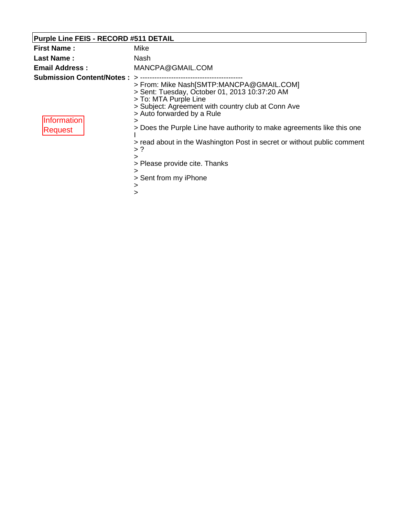# **Purple Line FEIS - RECORD #511 DETAIL**

| <b>First Name:</b>                                         | Mike                                                                                                                                                                                                                                                                                                                                                                                                                                                         |
|------------------------------------------------------------|--------------------------------------------------------------------------------------------------------------------------------------------------------------------------------------------------------------------------------------------------------------------------------------------------------------------------------------------------------------------------------------------------------------------------------------------------------------|
| <b>Last Name:</b>                                          | Nash                                                                                                                                                                                                                                                                                                                                                                                                                                                         |
| <b>Email Address:</b>                                      | MANCPA@GMAIL.COM                                                                                                                                                                                                                                                                                                                                                                                                                                             |
| <b>Submission Content/Notes:</b><br>Information<br>Request | ↘<br>> From: Mike Nash[SMTP:MANCPA@GMAIL.COM]<br>> Sent: Tuesday, October 01, 2013 10:37:20 AM<br>> To: MTA Purple Line<br>> Subject: Agreement with country club at Conn Ave<br>> Auto forwarded by a Rule<br>⋗<br>> Does the Purple Line have authority to make agreements like this one<br>> read about in the Washington Post in secret or without public comment<br>$>$ ?<br>><br>> Please provide cite. Thanks<br>><br>> Sent from my iPhone<br>><br>> |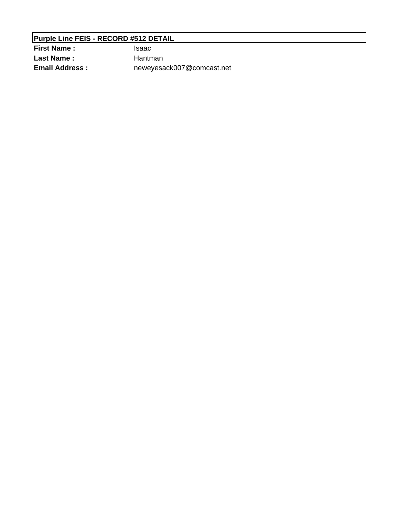### **Purple Line FEIS - RECORD #512 DETAIL**

**First Name :** Isaac Last Name : Hantman **Email Address :** neweyesack007@comcast.net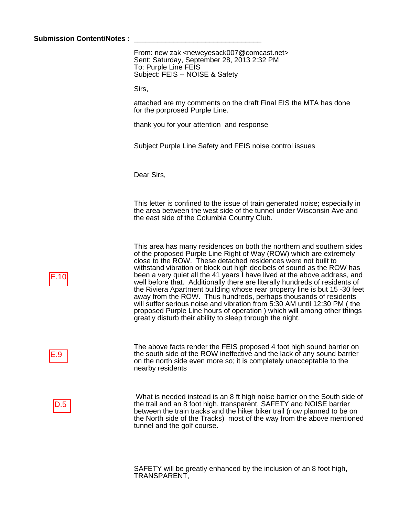#### Submission Content/Notes :

From: new zak <neweyesack007@comcast.net> Sent: Saturday, September 28, 2013 2:32 PM To: Purple Line FEIS Subject: FEIS -- NOISE & Safety

Sirs,

attached are my comments on the draft Final EIS the MTA has done for the porprosed Purple Line.

thank you for your attention and response

Subject Purple Line Safety and FEIS noise control issues

Dear Sirs,

This letter is confined to the issue of train generated noise; especially in the area between the west side of the tunnel under Wisconsin Ave and the east side of the Columbia Country Club.

This area has many residences on both the northern and southern sides of the proposed Purple Line Right of Way (ROW) which are extremely close to the ROW. These detached residences were not built to withstand vibration or block out high decibels of sound as the ROW has been a very quiet all the 41 years I have lived at the above address, and well before that. Additionally there are literally hundreds of residents of the Riviera Apartment building whose rear property line is but 15 -30 feet away from the ROW. Thus hundreds, perhaps thousands of residents will suffer serious noise and vibration from 5:30 AM until 12:30 PM ( the proposed Purple Line hours of operation ) which will among other things greatly disturb their ability to sleep through the night.

The above facts render the FEIS proposed 4 foot high sound barrier on the south side of the ROW ineffective and the lack of any sound barrier on the north side even more so; it is completely unacceptable to the nearby residents

D.5

E.9

 What is needed instead is an 8 ft high noise barrier on the South side of the trail and an 8 foot high, transparent, SAFETY and NOISE barrier between the train tracks and the hiker biker trail (now planned to be on the North side of the Tracks) most of the way from the above mentioned tunnel and the golf course.

SAFETY will be greatly enhanced by the inclusion of an 8 foot high, TRANSPARENT,

E.10<br>E.9<br>D.5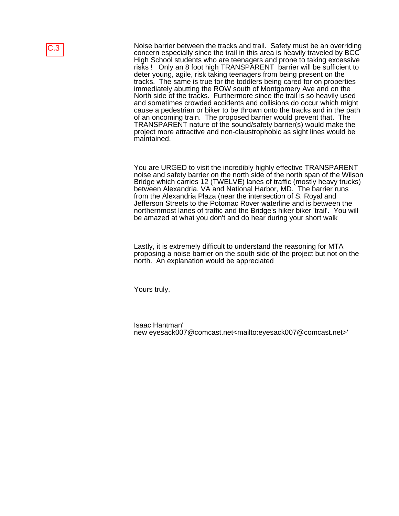Noise barrier between the tracks and trail. Safety must be an overriding concern especially since the trail in this area is heavily traveled by BCC High School students who are teenagers and prone to taking excessive risks ! Only an 8 foot high TRANSPARENT barrier will be sufficient to deter young, agile, risk taking teenagers from being present on the tracks. The same is true for the toddlers being cared for on properties immediately abutting the ROW south of Montgomery Ave and on the North side of the tracks. Furthermore since the trail is so heavily used and sometimes crowded accidents and collisions do occur which might cause a pedestrian or biker to be thrown onto the tracks and in the path of an oncoming train. The proposed barrier would prevent that. The TRANSPARENT nature of the sound/safety barrier(s) would make the project more attractive and non-claustrophobic as sight lines would be maintained.

You are URGED to visit the incredibly highly effective TRANSPARENT noise and safety barrier on the north side of the north span of the Wilson Bridge which carries 12 (TWELVE) lanes of traffic (mostly heavy trucks) between Alexandria, VA and National Harbor, MD. The barrier runs from the Alexandria Plaza (near the intersection of S. Royal and Jefferson Streets to the Potomac Rover waterline and is between the northernmost lanes of traffic and the Bridge's hiker biker 'trail'. You will be amazed at what you don't and do hear during your short walk

Lastly, it is extremely difficult to understand the reasoning for MTA proposing a noise barrier on the south side of the project but not on the north. An explanation would be appreciated

Yours truly,

Isaac Hantman' new eyesack007@comcast.net<mailto:eyesack007@comcast.net>'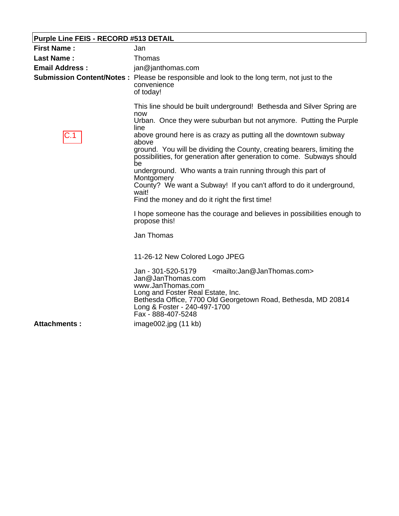# **Purple Line FEIS - RECORD #513 DETAIL**

| <b>First Name:</b>    | Jan                                                                                                                                                                                                                                                                                                                                                                                                                                                                             |
|-----------------------|---------------------------------------------------------------------------------------------------------------------------------------------------------------------------------------------------------------------------------------------------------------------------------------------------------------------------------------------------------------------------------------------------------------------------------------------------------------------------------|
| <b>Last Name:</b>     | Thomas                                                                                                                                                                                                                                                                                                                                                                                                                                                                          |
| <b>Email Address:</b> | jan@janthomas.com                                                                                                                                                                                                                                                                                                                                                                                                                                                               |
|                       | <b>Submission Content/Notes:</b> Please be responsible and look to the long term, not just to the<br>convenience<br>of today!                                                                                                                                                                                                                                                                                                                                                   |
| C.1                   | This line should be built underground! Bethesda and Silver Spring are<br>now<br>Urban. Once they were suburban but not anymore. Putting the Purple<br>line<br>above ground here is as crazy as putting all the downtown subway<br>above<br>ground. You will be dividing the County, creating bearers, limiting the<br>possibilities, for generation after generation to come. Subways should<br>be<br>underground. Who wants a train running through this part of<br>Montgomery |
|                       | County? We want a Subway! If you can't afford to do it underground,<br>wait!<br>Find the money and do it right the first time!                                                                                                                                                                                                                                                                                                                                                  |
|                       | I hope someone has the courage and believes in possibilities enough to<br>propose this!                                                                                                                                                                                                                                                                                                                                                                                         |
|                       | <b>Jan Thomas</b>                                                                                                                                                                                                                                                                                                                                                                                                                                                               |
|                       | 11-26-12 New Colored Logo JPEG                                                                                                                                                                                                                                                                                                                                                                                                                                                  |
|                       | <mailto:jan@janthomas.com><br/>Jan - 301-520-5179<br/>Jan@JanThomas.com<br/>www.JanThomas.com<br/>Long and Foster Real Estate, Inc.<br/>Bethesda Office, 7700 Old Georgetown Road, Bethesda, MD 20814<br/>Long &amp; Foster - 240-497-1700<br/>Fax - 888-407-5248</mailto:jan@janthomas.com>                                                                                                                                                                                    |
| <b>Attachments:</b>   | image002.jpg(11 kb)                                                                                                                                                                                                                                                                                                                                                                                                                                                             |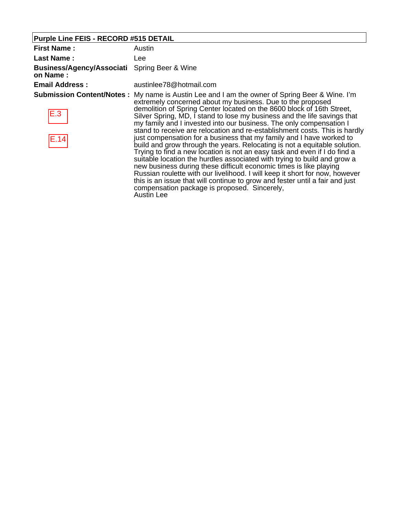# **Purple Line FEIS - RECORD #515 DETAIL**

| <b>First Name:</b>                                              | Austin                                                                                                                                                                                                                                                                                                                                                                                                                                                                                                                                                                                                                                                                                                                                                                                                                                                                                                                                                                                                                                                                                               |
|-----------------------------------------------------------------|------------------------------------------------------------------------------------------------------------------------------------------------------------------------------------------------------------------------------------------------------------------------------------------------------------------------------------------------------------------------------------------------------------------------------------------------------------------------------------------------------------------------------------------------------------------------------------------------------------------------------------------------------------------------------------------------------------------------------------------------------------------------------------------------------------------------------------------------------------------------------------------------------------------------------------------------------------------------------------------------------------------------------------------------------------------------------------------------------|
| <b>Last Name:</b>                                               | Lee                                                                                                                                                                                                                                                                                                                                                                                                                                                                                                                                                                                                                                                                                                                                                                                                                                                                                                                                                                                                                                                                                                  |
| <b>Business/Agency/Associati</b> Spring Beer & Wine<br>on Name: |                                                                                                                                                                                                                                                                                                                                                                                                                                                                                                                                                                                                                                                                                                                                                                                                                                                                                                                                                                                                                                                                                                      |
| <b>Email Address:</b>                                           | austinlee78@hotmail.com                                                                                                                                                                                                                                                                                                                                                                                                                                                                                                                                                                                                                                                                                                                                                                                                                                                                                                                                                                                                                                                                              |
| E.3<br> E.14                                                    | <b>Submission Content/Notes:</b> My name is Austin Lee and I am the owner of Spring Beer & Wine. I'm<br>extremely concerned about my business. Due to the proposed<br>demolition of Spring Center located on the 8600 block of 16th Street,<br>Silver Spring, MD, I stand to lose my business and the life savings that<br>my family and I invested into our business. The only compensation I<br>stand to receive are relocation and re-establishment costs. This is hardly<br>just compensation for a business that my family and I have worked to<br>build and grow through the years. Relocating is not a equitable solution.<br>Trying to find a new location is not an easy task and even if I do find a<br>suitable location the hurdles associated with trying to build and grow a<br>new business during these difficult economic times is like playing<br>Russian roulette with our livelihood. I will keep it short for now, however<br>this is an issue that will continue to grow and fester until a fair and just<br>compensation package is proposed. Sincerely,<br><b>Austin Lee</b> |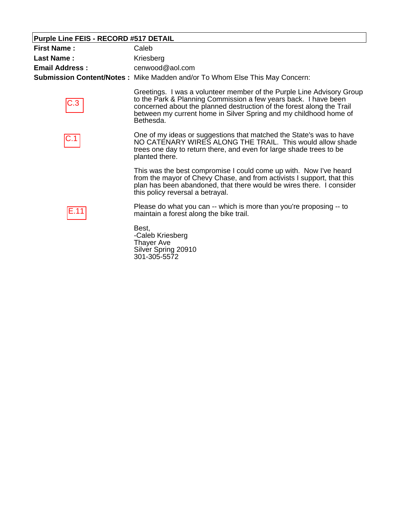# **Purple Line FEIS - RECORD #517 DETAIL**

| <b>First Name:</b>    | Caleb                                                                                                                                                                                                                                                                                               |
|-----------------------|-----------------------------------------------------------------------------------------------------------------------------------------------------------------------------------------------------------------------------------------------------------------------------------------------------|
| <b>Last Name:</b>     | Kriesberg                                                                                                                                                                                                                                                                                           |
| <b>Email Address:</b> | cenwood@aol.com                                                                                                                                                                                                                                                                                     |
|                       | <b>Submission Content/Notes:</b> Mike Madden and/or To Whom Else This May Concern:                                                                                                                                                                                                                  |
|                       | Greetings. I was a volunteer member of the Purple Line Advisory Group<br>to the Park & Planning Commission a few years back. I have been<br>concerned about the planned destruction of the forest along the Trail<br>between my current home in Silver Spring and my childhood home of<br>Bethesda. |
| C.1                   | One of my ideas or suggestions that matched the State's was to have<br>NO CATENARY WIRES ALONG THE TRAIL. This would allow shade<br>trees one day to return there, and even for large shade trees to be<br>planted there.                                                                           |
|                       | This was the best compromise I could come up with. Now I've heard<br>from the mayor of Chevy Chase, and from activists I support, that this<br>plan has been abandoned, that there would be wires there. I consider<br>this policy reversal a betrayal.                                             |
| E.11                  | Please do what you can -- which is more than you're proposing -- to<br>maintain a forest along the bike trail.                                                                                                                                                                                      |
|                       | Best.<br>-Caleb Kriesberg<br>Thayer Ave<br>Silver Spring 20910<br>301-305-5572                                                                                                                                                                                                                      |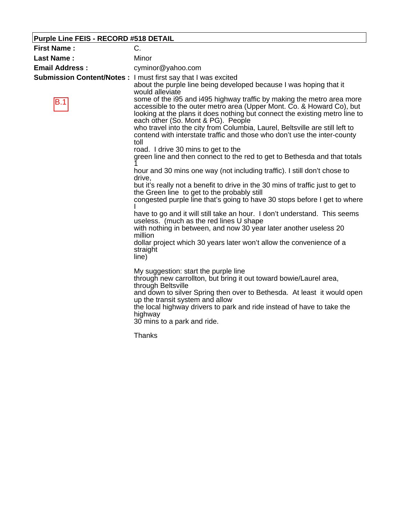# **Purple Line FEIS - RECORD #518 DETAIL**

| <b>First Name:</b>    | C.                                                                                                                                                                                                                                                                                                                                                                                                                                                                                                                                                                                                                                                                                                                                                                                                                                                                                                                                                                                                                                                                                                                                                                                                                                                                                                                                                                                                                                                                                                                                                                                                                                                                                                                      |
|-----------------------|-------------------------------------------------------------------------------------------------------------------------------------------------------------------------------------------------------------------------------------------------------------------------------------------------------------------------------------------------------------------------------------------------------------------------------------------------------------------------------------------------------------------------------------------------------------------------------------------------------------------------------------------------------------------------------------------------------------------------------------------------------------------------------------------------------------------------------------------------------------------------------------------------------------------------------------------------------------------------------------------------------------------------------------------------------------------------------------------------------------------------------------------------------------------------------------------------------------------------------------------------------------------------------------------------------------------------------------------------------------------------------------------------------------------------------------------------------------------------------------------------------------------------------------------------------------------------------------------------------------------------------------------------------------------------------------------------------------------------|
| <b>Last Name:</b>     | Minor                                                                                                                                                                                                                                                                                                                                                                                                                                                                                                                                                                                                                                                                                                                                                                                                                                                                                                                                                                                                                                                                                                                                                                                                                                                                                                                                                                                                                                                                                                                                                                                                                                                                                                                   |
| <b>Email Address:</b> | cyminor@yahoo.com                                                                                                                                                                                                                                                                                                                                                                                                                                                                                                                                                                                                                                                                                                                                                                                                                                                                                                                                                                                                                                                                                                                                                                                                                                                                                                                                                                                                                                                                                                                                                                                                                                                                                                       |
| B.1                   | Submission Content/Notes: I must first say that I was excited<br>about the purple line being developed because I was hoping that it<br>would alleviate<br>some of the i95 and i495 highway traffic by making the metro area more<br>accessible to the outer metro area (Upper Mont. Co. & Howard Co), but<br>looking at the plans it does nothing but connect the existing metro line to<br>each other (So. Mont & PG). People<br>who travel into the city from Columbia, Laurel, Beltsville are still left to<br>contend with interstate traffic and those who don't use the inter-county<br>toll<br>road. I drive 30 mins to get to the<br>green line and then connect to the red to get to Bethesda and that totals<br>hour and 30 mins one way (not including traffic). I still don't chose to<br>drive.<br>but it's really not a benefit to drive in the 30 mins of traffic just to get to<br>the Green line to get to the probably still<br>congested purple line that's going to have 30 stops before I get to where<br>have to go and it will still take an hour. I don't understand. This seems<br>useless. (much as the red lines U shape<br>with nothing in between, and now 30 year later another useless 20<br>million<br>dollar project which 30 years later won't allow the convenience of a<br>straight<br>line)<br>My suggestion: start the purple line<br>through new carrollton, but bring it out toward bowie/Laurel area,<br>through Beltsville<br>and down to silver Spring then over to Bethesda. At least it would open<br>up the transit system and allow<br>the local highway drivers to park and ride instead of have to take the<br>highway<br>30 mins to a park and ride.<br><b>Thanks</b> |
|                       |                                                                                                                                                                                                                                                                                                                                                                                                                                                                                                                                                                                                                                                                                                                                                                                                                                                                                                                                                                                                                                                                                                                                                                                                                                                                                                                                                                                                                                                                                                                                                                                                                                                                                                                         |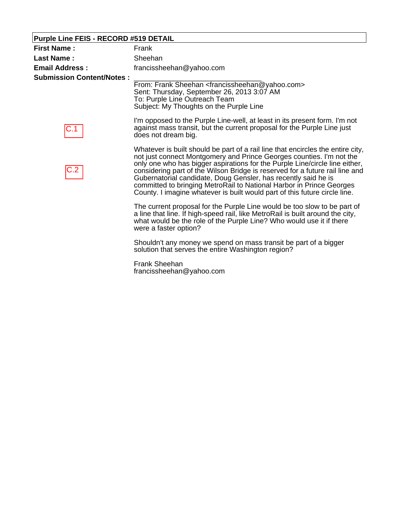# **Purple Line FEIS - RECORD #519 DETAIL**

| <b>First Name:</b>               | Frank                                                                                                                                                                                                                                                                                                                                                                                                                                                                                                                                          |
|----------------------------------|------------------------------------------------------------------------------------------------------------------------------------------------------------------------------------------------------------------------------------------------------------------------------------------------------------------------------------------------------------------------------------------------------------------------------------------------------------------------------------------------------------------------------------------------|
| <b>Last Name:</b>                | Sheehan                                                                                                                                                                                                                                                                                                                                                                                                                                                                                                                                        |
| <b>Email Address:</b>            | francissheehan@yahoo.com                                                                                                                                                                                                                                                                                                                                                                                                                                                                                                                       |
| <b>Submission Content/Notes:</b> | From: Frank Sheehan <francissheehan@yahoo.com><br/>Sent: Thursday, September 26, 2013 3:07 AM<br/>To: Purple Line Outreach Team<br/>Subject: My Thoughts on the Purple Line</francissheehan@yahoo.com>                                                                                                                                                                                                                                                                                                                                         |
|                                  | I'm opposed to the Purple Line-well, at least in its present form. I'm not<br>against mass transit, but the current proposal for the Purple Line just<br>does not dream big.                                                                                                                                                                                                                                                                                                                                                                   |
| C.2                              | Whatever is built should be part of a rail line that encircles the entire city,<br>not just connect Montgomery and Prince Georges counties. I'm not the<br>only one who has bigger aspirations for the Purple Line/circle line either,<br>considering part of the Wilson Bridge is reserved for a future rail line and<br>Gubernatorial candidate, Doug Gensler, has recently said he is<br>committed to bringing MetroRail to National Harbor in Prince Georges<br>County. I imagine whatever is built would part of this future circle line. |
|                                  | The current proposal for the Purple Line would be too slow to be part of<br>a line that line. If high-speed rail, like MetroRail is built around the city,<br>what would be the role of the Purple Line? Who would use it if there<br>were a faster option?                                                                                                                                                                                                                                                                                    |
|                                  | Shouldn't any money we spend on mass transit be part of a bigger<br>solution that serves the entire Washington region?                                                                                                                                                                                                                                                                                                                                                                                                                         |
|                                  | <b>- 1 ALL</b>                                                                                                                                                                                                                                                                                                                                                                                                                                                                                                                                 |

Frank Sheehan francissheehan@yahoo.com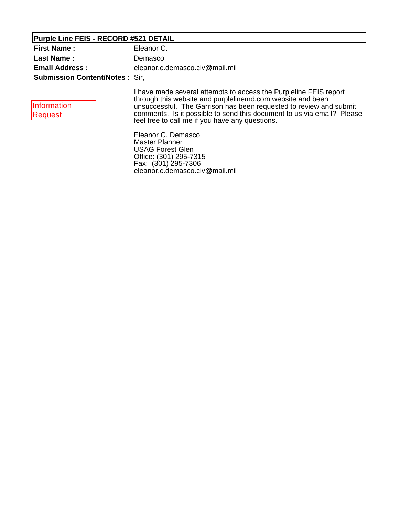### **Purple Line FEIS - RECORD #521 DETAIL**

| <b>First Name:</b>                    | Eleanor C.                     |
|---------------------------------------|--------------------------------|
| Last Name:                            | Demasco                        |
| <b>Email Address:</b>                 | eleanor.c.demasco.civ@mail.mil |
| <b>Submission Content/Notes: Sir.</b> |                                |

| Information |  |
|-------------|--|
| Request     |  |

I have made several attempts to access the Purpleline FEIS report through this website and purplelinemd.com website and been unsuccessful. The Garrison has been requested to review and submit comments. Is it possible to send this document to us via email? Please feel free to call me if you have any questions.

Eleanor C. Demasco Master Planner USAG Forest Glen Office: (301) 295-7315 Fax: (301) 295-7306 eleanor.c.demasco.civ@mail.mil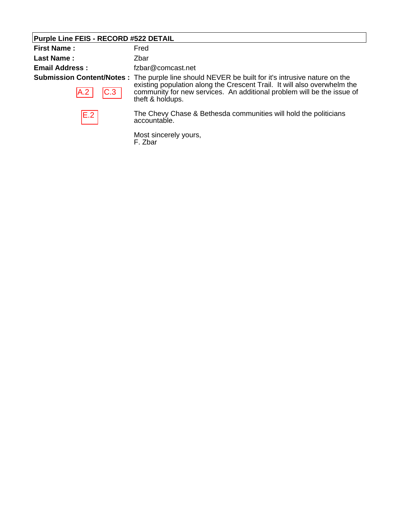# **Purple Line FEIS - RECORD #522 DETAIL**

| <b>First Name:</b>    | Fred                                                                                                                                                                                                                                                                               |
|-----------------------|------------------------------------------------------------------------------------------------------------------------------------------------------------------------------------------------------------------------------------------------------------------------------------|
| <b>Last Name:</b>     | Zbar                                                                                                                                                                                                                                                                               |
| <b>Email Address:</b> | fzbar@comcast.net                                                                                                                                                                                                                                                                  |
| C.3 <br>A.2           | <b>Submission Content/Notes</b> : The purple line should NEVER be built for it's intrusive nature on the<br>existing population along the Crescent Trail. It will also overwhelm the<br>community for new services. An additional problem will be the issue of<br>theft & holdups. |
| E.2                   | The Chevy Chase & Bethesda communities will hold the politicians<br>accountable.                                                                                                                                                                                                   |
|                       | Most sincerely yours,<br>F. Zbar                                                                                                                                                                                                                                                   |

F. Zbar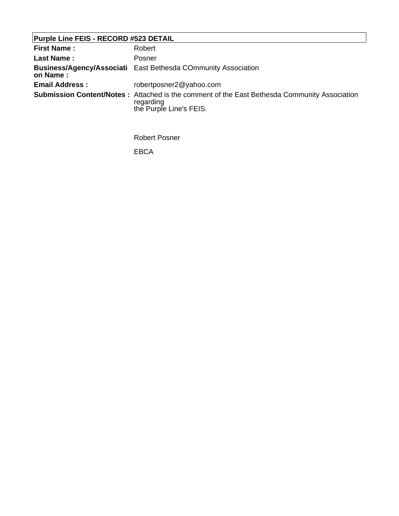# **Purple Line FEIS - RECORD #523 DETAIL**

| <b>First Name:</b>    | Robert                                                                                                                                      |
|-----------------------|---------------------------------------------------------------------------------------------------------------------------------------------|
| <b>Last Name:</b>     | Posner                                                                                                                                      |
| on Name:              | <b>Business/Agency/Associati</b> East Bethesda COmmunity Association                                                                        |
| <b>Email Address:</b> | robertposner2@yahoo.com                                                                                                                     |
|                       | <b>Submission Content/Notes:</b> Attached is the comment of the East Bethesda Community Association<br>regarding<br>the Purple Line's FEIS. |

Robert Posner

EBCA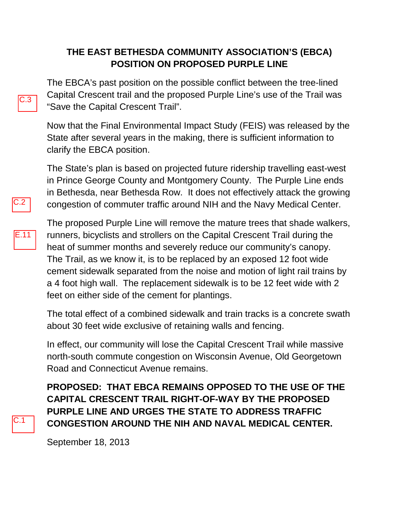### **THE EAST BETHESDA COMMUNITY ASSOCIATION'S (EBCA) POSITION ON PROPOSED PURPLE LINE**

The EBCA's past position on the possible conflict between the tree-lined Capital Crescent trail and the proposed Purple Line's use of the Trail was "Save the Capital Crescent Trail".

Now that the Final Environmental Impact Study (FEIS) was released by the State after several years in the making, there is sufficient information to clarify the EBCA position.

The State's plan is based on projected future ridership travelling east-west in Prince George County and Montgomery County. The Purple Line ends in Bethesda, near Bethesda Row. It does not effectively attack the growing congestion of commuter traffic around NIH and the Navy Medical Center.



C.1

 $2.2$ 

The proposed Purple Line will remove the mature trees that shade walkers, runners, bicyclists and strollers on the Capital Crescent Trail during the heat of summer months and severely reduce our community's canopy. The Trail, as we know it, is to be replaced by an exposed 12 foot wide cement sidewalk separated from the noise and motion of light rail trains by a 4 foot high wall. The replacement sidewalk is to be 12 feet wide with 2 feet on either side of the cement for plantings.

The total effect of a combined sidewalk and train tracks is a concrete swath about 30 feet wide exclusive of retaining walls and fencing.

In effect, our community will lose the Capital Crescent Trail while massive north-south commute congestion on Wisconsin Avenue, Old Georgetown Road and Connecticut Avenue remains.

**PROPOSED: THAT EBCA REMAINS OPPOSED TO THE USE OF THE CAPITAL CRESCENT TRAIL RIGHT-OF-WAY BY THE PROPOSED PURPLE LINE AND URGES THE STATE TO ADDRESS TRAFFIC CONGESTION AROUND THE NIH AND NAVAL MEDICAL CENTER.**

September 18, 2013

 $C.3$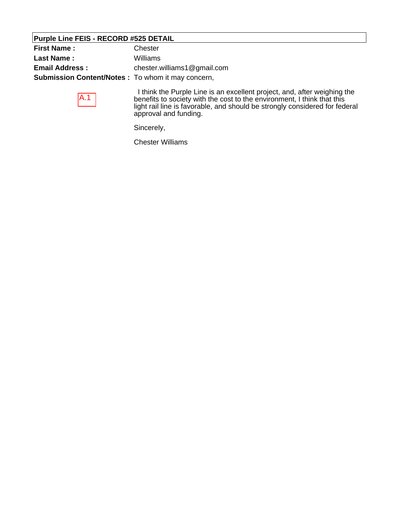### **Purple Line FEIS - RECORD #525 DETAIL**

| <b>First Name:</b>                                       | Chester                                                              |  |
|----------------------------------------------------------|----------------------------------------------------------------------|--|
| <b>Last Name:</b>                                        | Williams                                                             |  |
| <b>Email Address:</b>                                    | chester.williams1@gmail.com                                          |  |
| <b>Submission Content/Notes:</b> To whom it may concern, |                                                                      |  |
|                                                          | think the Purple Line is an excellent project and after weighing the |  |

 $A.1$ 

 I think the Purple Line is an excellent project, and, after weighing the benefits to society with the cost to the environment, I think that this light rail line is favorable, and should be strongly considered for federal approval and funding.

Sincerely,

Chester Williams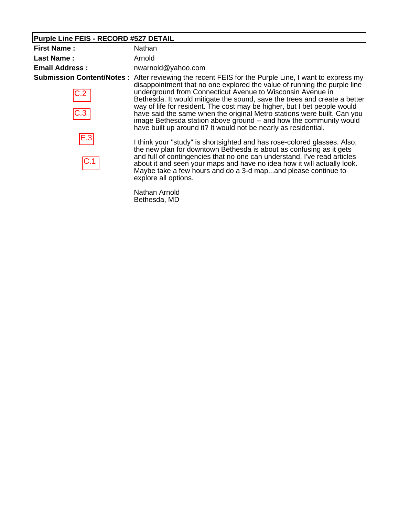### **Purple Line FEIS - RECORD #527 DETAIL**

| <b>First Name:</b>                                | Nathan                 |
|---------------------------------------------------|------------------------|
| Last Name:                                        | Arnold                 |
| <b>Email Address:</b>                             | nwarnold@yahoo.com     |
| Submission Content/Notes: After reviewing the rec | dicappointmont that no |

C.2  $\begin{array}{c}\n 6.3 \\
\hline\n 6.3\n \end{array}$ 

cent FEIS for the Purple Line, I want to express my disappointment that no one explored the value of running the purple line underground from Connecticut Avenue to Wisconsin Avenue in Bethesda. It would mitigate the sound, save the trees and create a better way of life for resident. The cost may be higher, but I bet people would have said the same when the original Metro stations were built. Can you image Bethesda station above ground -- and how the community would have built up around it? It would not be nearly as residential.

I think your "study" is shortsighted and has rose-colored glasses. Also, the new plan for downtown Bethesda is about as confusing as it gets and full of contingencies that no one can understand. I've read articles about it and seen your maps and have no idea how it will actually look. Maybe take a few hours and do a 3-d map...and please continue to explore all options.

Nathan Arnold Bethesda, MD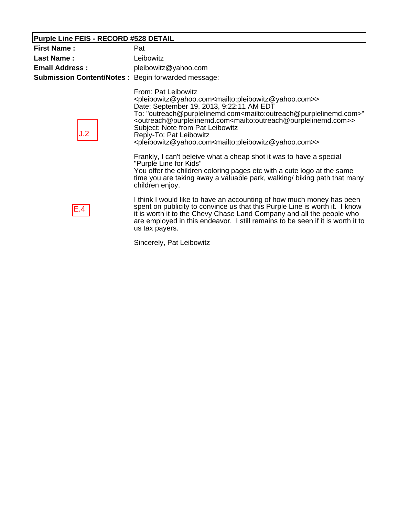# **Purple Line FEIS - RECORD #528 DETAIL**

| <b>First Name:</b><br><b>Last Name:</b><br><b>Email Address:</b> | Pat<br>Leibowitz<br>pleibowitz@yahoo.com                                                                                                                                                                                                                                                                                                                                                                                                                                                                                                                                                                |
|------------------------------------------------------------------|---------------------------------------------------------------------------------------------------------------------------------------------------------------------------------------------------------------------------------------------------------------------------------------------------------------------------------------------------------------------------------------------------------------------------------------------------------------------------------------------------------------------------------------------------------------------------------------------------------|
| <b>Submission Content/Notes: Begin forwarded message:</b><br>J.2 | From: Pat Leibowitz<br><pleibowitz@yahoo.com<mailto:pleibowitz@yahoo.com>&gt;<br/>Date: September 19, 2013, 9:22:11 AM EDT<br/>To: "outreach@purplelinemd.com<mailto:outreach@purplelinemd.com>"<br/><outreach@purplelinemd.com<mailto:outreach@purplelinemd.com>&gt;<br/>Subject: Note from Pat Leibowitz<br/>Reply-To: Pat Leibowitz<br/><pleibowitz@yahoo.com<mailto:pleibowitz@yahoo.com>&gt;</pleibowitz@yahoo.com<mailto:pleibowitz@yahoo.com></outreach@purplelinemd.com<mailto:outreach@purplelinemd.com></mailto:outreach@purplelinemd.com></pleibowitz@yahoo.com<mailto:pleibowitz@yahoo.com> |
|                                                                  | Frankly, I can't beleive what a cheap shot it was to have a special<br>"Purple Line for Kids"<br>You offer the children coloring pages etc with a cute logo at the same<br>time you are taking away a valuable park, walking/ biking path that many<br>children enjoy.                                                                                                                                                                                                                                                                                                                                  |
| E.4                                                              | I think I would like to have an accounting of how much money has been<br>spent on publicity to convince us that this Purple Line is worth it. I know<br>it is worth it to the Chevy Chase Land Company and all the people who<br>are employed in this endeavor. I still remains to be seen if it is worth it to<br>us tax payers.                                                                                                                                                                                                                                                                       |
|                                                                  |                                                                                                                                                                                                                                                                                                                                                                                                                                                                                                                                                                                                         |

Sincerely, Pat Leibowitz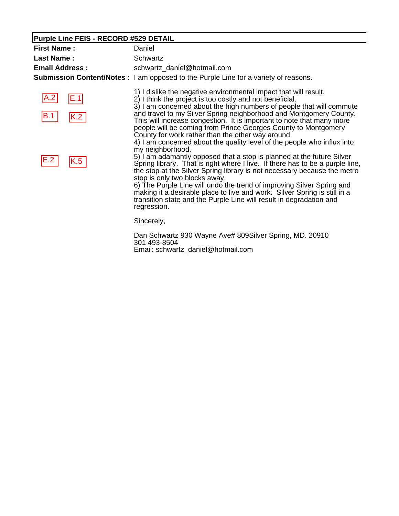# **Purple Line FEIS - RECORD #529 DETAIL**

| <b>First Name:</b>    | Daniel                                                                                                                                                                                                                                                                                                                                                                                                                                                                                                                                                                                                         |
|-----------------------|----------------------------------------------------------------------------------------------------------------------------------------------------------------------------------------------------------------------------------------------------------------------------------------------------------------------------------------------------------------------------------------------------------------------------------------------------------------------------------------------------------------------------------------------------------------------------------------------------------------|
| <b>Last Name:</b>     | Schwartz                                                                                                                                                                                                                                                                                                                                                                                                                                                                                                                                                                                                       |
| <b>Email Address:</b> | schwartz_daniel@hotmail.com                                                                                                                                                                                                                                                                                                                                                                                                                                                                                                                                                                                    |
|                       | <b>Submission Content/Notes</b> : I am opposed to the Purple Line for a variety of reasons.                                                                                                                                                                                                                                                                                                                                                                                                                                                                                                                    |
| A.2<br>E.1            | 1) I dislike the negative environmental impact that will result.<br>2) I think the project is too costly and not beneficial.<br>3) I am concerned about the high numbers of people that will commute                                                                                                                                                                                                                                                                                                                                                                                                           |
| B.1                   | and travel to my Silver Spring neighborhood and Montgomery County.<br>This will increase congestion. It is important to note that many more<br>people will be coming from Prince Georges County to Montgomery<br>County for work rather than the other way around.                                                                                                                                                                                                                                                                                                                                             |
| E.2<br>K.5            | 4) I am concerned about the quality level of the people who influx into<br>my neighborhood.<br>5) I am adamantly opposed that a stop is planned at the future Silver<br>Spring library. That is right where I live. If there has to be a purple line,<br>the stop at the Silver Spring library is not necessary because the metro<br>stop is only two blocks away.<br>6) The Purple Line will undo the trend of improving Silver Spring and<br>making it a desirable place to live and work. Silver Spring is still in a<br>transition state and the Purple Line will result in degradation and<br>regression. |
|                       | Sincerely,                                                                                                                                                                                                                                                                                                                                                                                                                                                                                                                                                                                                     |
|                       | Dan Schwartz 930 Wayne Ave# 809Silver Spring, MD. 20910<br>301 493-8504                                                                                                                                                                                                                                                                                                                                                                                                                                                                                                                                        |

Email: schwartz\_daniel@hotmail.com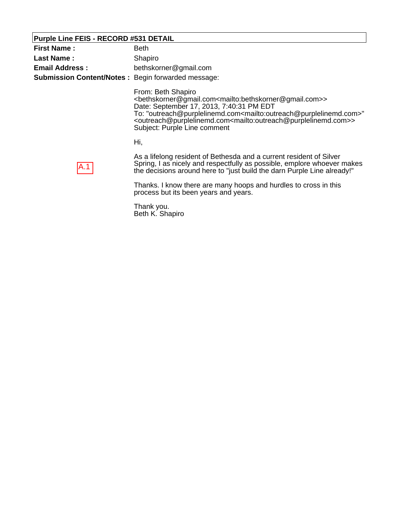### **Purple Line FEIS - RECORD #531 DETAIL**

| <b>First Name:</b>                                        | <b>Beth</b>                                                                                                                                                                                                                                                                                                                                                                                                                                                  |
|-----------------------------------------------------------|--------------------------------------------------------------------------------------------------------------------------------------------------------------------------------------------------------------------------------------------------------------------------------------------------------------------------------------------------------------------------------------------------------------------------------------------------------------|
| <b>Last Name:</b>                                         | Shapiro                                                                                                                                                                                                                                                                                                                                                                                                                                                      |
| <b>Email Address:</b>                                     | bethskorner@gmail.com                                                                                                                                                                                                                                                                                                                                                                                                                                        |
| <b>Submission Content/Notes: Begin forwarded message:</b> |                                                                                                                                                                                                                                                                                                                                                                                                                                                              |
|                                                           | From: Beth Shapiro<br><bethskorner@gmail.com<mailto:bethskorner@gmail.com>&gt;<br/>Date: September 17, 2013, 7:40:31 PM EDT<br/>To: "outreach@purplelinemd.com<mailto:outreach@purplelinemd.com>"<br/><outreach@purplelinemd.com<mailto:outreach@purplelinemd.com>&gt;<br/>Subject: Purple Line comment</outreach@purplelinemd.com<mailto:outreach@purplelinemd.com></mailto:outreach@purplelinemd.com></bethskorner@gmail.com<mailto:bethskorner@gmail.com> |
|                                                           | Hi,                                                                                                                                                                                                                                                                                                                                                                                                                                                          |
| A.1                                                       | As a lifelong resident of Bethesda and a current resident of Silver<br>Spring, I as nicely and respectfully as possible, emplore whoever makes<br>the decisions around here to "just build the darn Purple Line already!"<br>Thanks. I know there are many hoops and hurdles to cross in this<br>process but its been years and years.                                                                                                                       |
|                                                           |                                                                                                                                                                                                                                                                                                                                                                                                                                                              |

Thank you. Beth K. Shapiro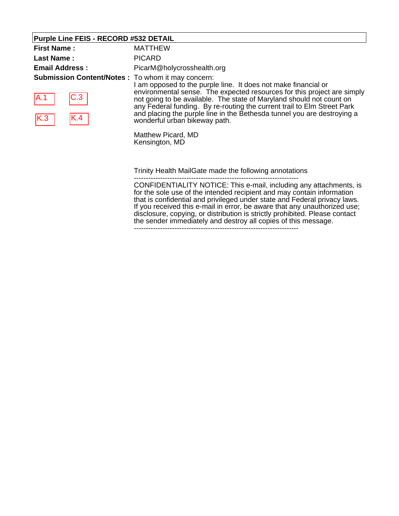# **Purple Line FEIS - RECORD #532 DETAIL**

| <b>First Name:</b>                                                                    | <b>MATTHEW</b>                                                                                                                                                                                                                                                                                                                                                                                                                                                                                                                      |
|---------------------------------------------------------------------------------------|-------------------------------------------------------------------------------------------------------------------------------------------------------------------------------------------------------------------------------------------------------------------------------------------------------------------------------------------------------------------------------------------------------------------------------------------------------------------------------------------------------------------------------------|
| <b>Last Name:</b>                                                                     | <b>PICARD</b>                                                                                                                                                                                                                                                                                                                                                                                                                                                                                                                       |
| <b>Email Address:</b>                                                                 | PicarM@holycrosshealth.org                                                                                                                                                                                                                                                                                                                                                                                                                                                                                                          |
| <b>Submission Content/Notes:</b> To whom it may concern:<br>C.3<br>IA.1<br>K.3<br>K.4 | I am opposed to the purple line. It does not make financial or<br>environmental sense. The expected resources for this project are simply<br>not going to be available. The state of Maryland should not count on<br>any Federal funding. By re-routing the current trail to Elm Street Park<br>and placing the purple line in the Bethesda tunnel you are destroying a<br>wonderful urban bikeway path.<br>Matthew Picard, MD                                                                                                      |
|                                                                                       | Kensington, MD<br>Trinity Health MailGate made the following annotations<br>CONFIDENTIALITY NOTICE: This e-mail, including any attachments, is<br>for the sole use of the intended recipient and may contain information<br>that is confidential and privileged under state and Federal privacy laws.<br>If you received this e-mail in error, be aware that any unauthorized use;<br>disclosure, copying, or distribution is strictly prohibited. Please contact<br>the sender immediately and destroy all copies of this message. |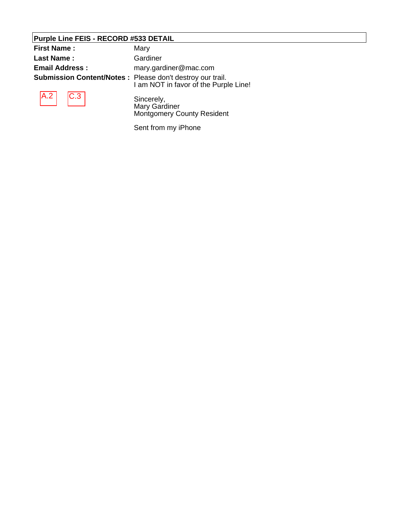### **Purple Line FEIS - RECORD #533 DETAIL**

| <b>First Name:</b>                                               | Mary                                  |
|------------------------------------------------------------------|---------------------------------------|
| <b>Last Name:</b>                                                | Gardiner                              |
| <b>Email Address:</b>                                            | mary.gardiner@mac.com                 |
| <b>Submission Content/Notes: Please don't destroy our trail.</b> | I am NOT in favor of the Purple Line! |
| $\vert$ A.2 $\vert$ $\vert$ C.3 $\vert$                          | Sincerely,<br>Mary Gardiner           |

Sincerely, Mary Gardiner Montgomery County Resident

Sent from my iPhone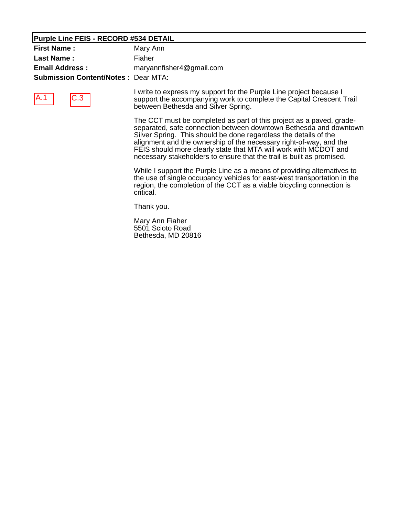### **Purple Line FEIS - RECORD #534 DETAIL**

| <b>First Name:</b>                         | Mary Ann                 |
|--------------------------------------------|--------------------------|
| Last Name :                                | Fiaher                   |
| <b>Email Address:</b>                      | maryannfisher4@gmail.com |
| <b>Submission Content/Notes: Dear MTA:</b> |                          |



I write to express my support for the Purple Line project because I support the accompanying work to complete the Capital Crescent Trail between Bethesda and Silver Spring.

The CCT must be completed as part of this project as a paved, gradeseparated, safe connection between downtown Bethesda and downtown Silver Spring. This should be done regardless the details of the alignment and the ownership of the necessary right-of-way, and the FEIS should more clearly state that MTA will work with MCDOT and necessary stakeholders to ensure that the trail is built as promised.

While I support the Purple Line as a means of providing alternatives to the use of single occupancy vehicles for east-west transportation in the region, the completion of the CCT as a viable bicycling connection is critical.

Thank you.

Mary Ann Fiaher 5501 Scioto Road Bethesda, MD 20816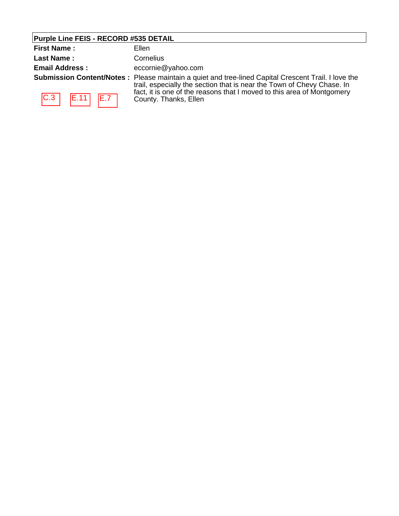# **Purple Line FEIS - RECORD #535 DETAIL**

| <b>First Name:</b>    | Ellen                                                                                                                                                                         |
|-----------------------|-------------------------------------------------------------------------------------------------------------------------------------------------------------------------------|
| <b>Last Name:</b>     | Cornelius                                                                                                                                                                     |
| <b>Email Address:</b> | eccornie@yahoo.com                                                                                                                                                            |
|                       | Submission Content/Notes: Please maintain a quiet and tree-lined Capital Crescent Trail. I love the<br>trail, especially the section that is near the Town of Chevy Chase. In |
| C.3 <br>E.7<br> E.11  | fact, it is one of the reasons that I moved to this area of Montgomery<br>County. Thanks, Ellen                                                                               |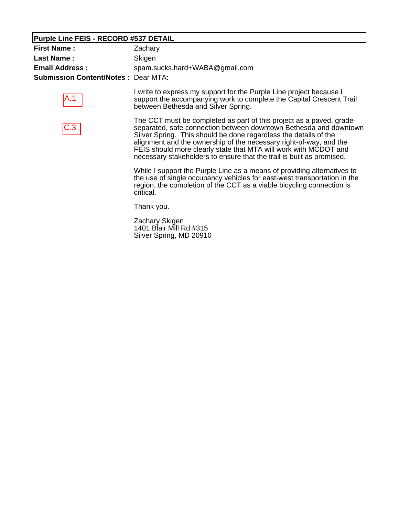### **Purple Line FEIS - RECORD #537 DETAIL**

| Zachary                                    |
|--------------------------------------------|
| Skigen                                     |
| spam.sucks.hard+WABA@gmail.com             |
| <b>Submission Content/Notes: Dear MTA:</b> |
|                                            |

A.1

I write to express my support for the Purple Line project because I support the accompanying work to complete the Capital Crescent Trail between Bethesda and Silver Spring.



The CCT must be completed as part of this project as a paved, gradeseparated, safe connection between downtown Bethesda and downtown Silver Spring. This should be done regardless the details of the alignment and the ownership of the necessary right-of-way, and the FEIS should more clearly state that MTA will work with MCDOT and necessary stakeholders to ensure that the trail is built as promised.

While I support the Purple Line as a means of providing alternatives to the use of single occupancy vehicles for east-west transportation in the region, the completion of the CCT as a viable bicycling connection is critical.

Thank you.

Zachary Skigen 1401 Blair Mill Rd #315 Silver Spring, MD 20910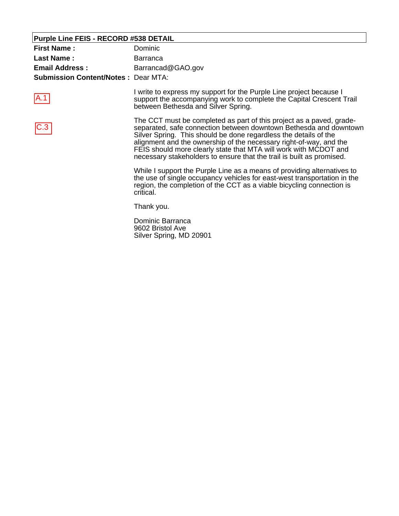### **Purple Line FEIS - RECORD #538 DETAIL**

A.1

| <b>First Name:</b>                         | Dominic           |
|--------------------------------------------|-------------------|
| Last Name:                                 | <b>Barranca</b>   |
| <b>Email Address:</b>                      | Barrancad@GAO.gov |
| <b>Submission Content/Notes: Dear MTA:</b> |                   |

I write to express my support for the Purple Line project because I support the accompanying work to complete the Capital Crescent Trail between Bethesda and Silver Spring.

The CCT must be completed as part of this project as a paved, gradeseparated, safe connection between downtown Bethesda and downtown Silver Spring. This should be done regardless the details of the alignment and the ownership of the necessary right-of-way, and the FEIS should more clearly state that MTA will work with MCDOT and necessary stakeholders to ensure that the trail is built as promised. C.3

> While I support the Purple Line as a means of providing alternatives to the use of single occupancy vehicles for east-west transportation in the region, the completion of the CCT as a viable bicycling connection is critical.

Thank you.

Dominic Barranca 9602 Bristol Ave Silver Spring, MD 20901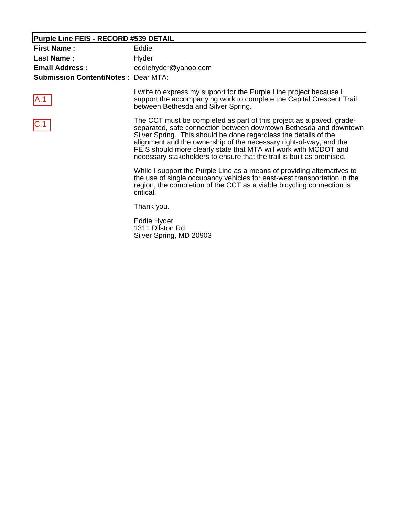### **Purple Line FEIS - RECORD #539 DETAIL**

A.1

| <b>First Name:</b>                         | Eddie                |
|--------------------------------------------|----------------------|
| Last Name :                                | Hyder                |
| <b>Email Address:</b>                      | eddiehyder@yahoo.com |
| <b>Submission Content/Notes: Dear MTA:</b> |                      |

I write to express my support for the Purple Line project because I support the accompanying work to complete the Capital Crescent Trail between Bethesda and Silver Spring.

The CCT must be completed as part of this project as a paved, gradeseparated, safe connection between downtown Bethesda and downtown Silver Spring. This should be done regardless the details of the alignment and the ownership of the necessary right-of-way, and the FEIS should more clearly state that MTA will work with MCDOT and necessary stakeholders to ensure that the trail is built as promised. C.1

> While I support the Purple Line as a means of providing alternatives to the use of single occupancy vehicles for east-west transportation in the region, the completion of the CCT as a viable bicycling connection is critical.

Thank you.

Eddie Hyder 1311 Dilston Rd. Silver Spring, MD 20903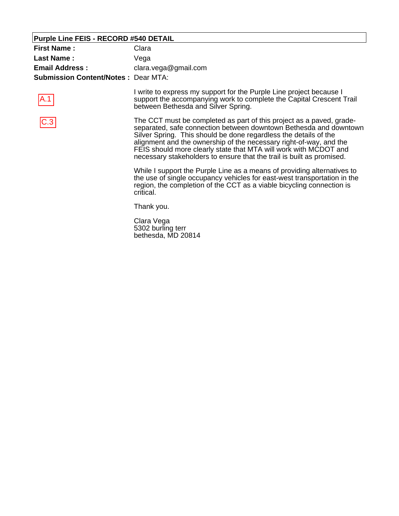### **Purple Line FEIS - RECORD #540 DETAIL**

A.1

| <b>First Name:</b>                         | Clara                |
|--------------------------------------------|----------------------|
| Last Name:                                 | Vega                 |
| <b>Email Address:</b>                      | clara.vega@gmail.com |
| <b>Submission Content/Notes: Dear MTA:</b> |                      |

I write to express my support for the Purple Line project because I support the accompanying work to complete the Capital Crescent Trail between Bethesda and Silver Spring.

The CCT must be completed as part of this project as a paved, gradeseparated, safe connection between downtown Bethesda and downtown Silver Spring. This should be done regardless the details of the alignment and the ownership of the necessary right-of-way, and the FEIS should more clearly state that MTA will work with MCDOT and necessary stakeholders to ensure that the trail is built as promised. C.3

> While I support the Purple Line as a means of providing alternatives to the use of single occupancy vehicles for east-west transportation in the region, the completion of the CCT as a viable bicycling connection is critical.

Thank you.

Clara Vega 5302 burling terr bethesda, MD 20814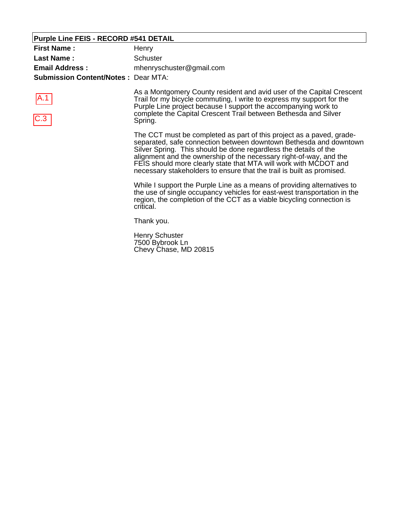# **Purple Line FEIS - RECORD #541 DETAIL**

| <b>First Name:</b><br><b>Last Name:</b><br><b>Email Address:</b><br><b>Submission Content/Notes: Dear MTA:</b> | Henry<br><b>Schuster</b><br>mhenryschuster@gmail.com                                                                                                                                                                                                                                                                                                                                                                             |
|----------------------------------------------------------------------------------------------------------------|----------------------------------------------------------------------------------------------------------------------------------------------------------------------------------------------------------------------------------------------------------------------------------------------------------------------------------------------------------------------------------------------------------------------------------|
| A.1<br>C.3                                                                                                     | As a Montgomery County resident and avid user of the Capital Crescent<br>Trail for my bicycle commuting, I write to express my support for the<br>Purple Line project because I support the accompanying work to<br>complete the Capital Crescent Trail between Bethesda and Silver<br>Spring.                                                                                                                                   |
|                                                                                                                | The CCT must be completed as part of this project as a paved, grade-<br>separated, safe connection between downtown Bethesda and downtown<br>Silver Spring. This should be done regardless the details of the<br>alignment and the ownership of the necessary right-of-way, and the<br>FEIS should more clearly state that MTA will work with MCDOT and<br>necessary stakeholders to ensure that the trail is built as promised. |
|                                                                                                                | While I support the Purple Line as a means of providing alternatives to<br>the use of single occupancy vehicles for east-west transportation in the<br>region, the completion of the CCT as a viable bicycling connection is<br>critical.                                                                                                                                                                                        |
|                                                                                                                | Thank you.                                                                                                                                                                                                                                                                                                                                                                                                                       |
|                                                                                                                | <b>Henry Schuster</b><br>7500 Bybrook Ln                                                                                                                                                                                                                                                                                                                                                                                         |

Chevy Chase, MD 20815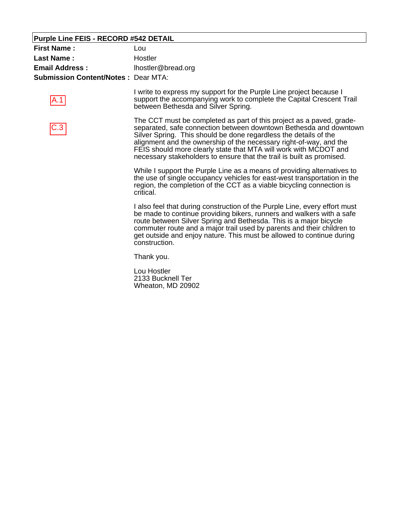### **Purple Line FEIS - RECORD #542 DETAIL**

| <b>First Name:</b>                         | Lou                                                                                                                                                                                |
|--------------------------------------------|------------------------------------------------------------------------------------------------------------------------------------------------------------------------------------|
| <b>Last Name:</b>                          | Hostler                                                                                                                                                                            |
| <b>Email Address:</b>                      | lhostler@bread.org                                                                                                                                                                 |
| <b>Submission Content/Notes: Dear MTA:</b> |                                                                                                                                                                                    |
| $\mathsf{A}.1$                             | I write to express my support for the Purple Line project because I<br>support the accompanying work to complete the Capital Crescent Trail<br>between Bethesda and Silver Spring. |

C.3

The CCT must be completed as part of this project as a paved, gradeseparated, safe connection between downtown Bethesda and downtown Silver Spring. This should be done regardless the details of the alignment and the ownership of the necessary right-of-way, and the FEIS should more clearly state that MTA will work with MCDOT and necessary stakeholders to ensure that the trail is built as promised.

While I support the Purple Line as a means of providing alternatives to the use of single occupancy vehicles for east-west transportation in the region, the completion of the CCT as a viable bicycling connection is critical.

I also feel that during construction of the Purple Line, every effort must be made to continue providing bikers, runners and walkers with a safe route between Silver Spring and Bethesda. This is a major bicycle commuter route and a major trail used by parents and their children to get outside and enjoy nature. This must be allowed to continue during construction.

Thank you.

Lou Hostler 2133 Bucknell Ter Wheaton, MD 20902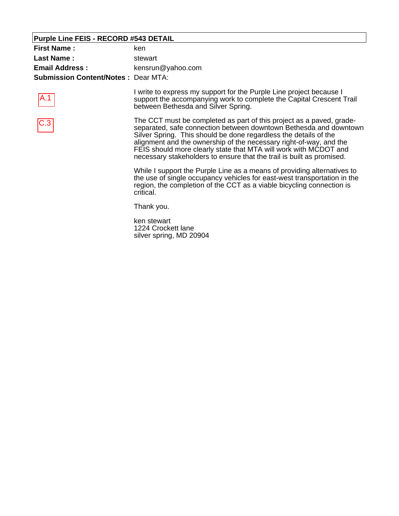#### **Purple Line FEIS - RECORD #543 DETAIL**

A.1

| <b>First Name:</b>                         | ken               |
|--------------------------------------------|-------------------|
| Last Name:                                 | stewart           |
| <b>Email Address:</b>                      | kensrun@yahoo.com |
| <b>Submission Content/Notes: Dear MTA:</b> |                   |

I write to express my support for the Purple Line project because I support the accompanying work to complete the Capital Crescent Trail between Bethesda and Silver Spring.

The CCT must be completed as part of this project as a paved, gradeseparated, safe connection between downtown Bethesda and downtown Silver Spring. This should be done regardless the details of the alignment and the ownership of the necessary right-of-way, and the FEIS should more clearly state that MTA will work with MCDOT and necessary stakeholders to ensure that the trail is built as promised. C.3

> While I support the Purple Line as a means of providing alternatives to the use of single occupancy vehicles for east-west transportation in the region, the completion of the CCT as a viable bicycling connection is critical.

Thank you.

ken stewart 1224 Crockett lane silver spring, MD 20904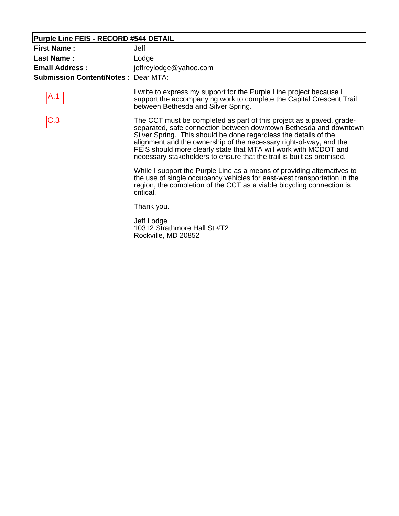#### **Purple Line FEIS - RECORD #544 DETAIL**

| <b>First Name:</b>                         | Jeff                   |
|--------------------------------------------|------------------------|
| Last Name :                                | Lodge                  |
| <b>Email Address:</b>                      | jeffreylodge@yahoo.com |
| <b>Submission Content/Notes: Dear MTA:</b> |                        |

A.1



I write to express my support for the Purple Line project because I support the accompanying work to complete the Capital Crescent Trail between Bethesda and Silver Spring.

The CCT must be completed as part of this project as a paved, gradeseparated, safe connection between downtown Bethesda and downtown Silver Spring. This should be done regardless the details of the alignment and the ownership of the necessary right-of-way, and the FEIS should more clearly state that MTA will work with MCDOT and necessary stakeholders to ensure that the trail is built as promised.

While I support the Purple Line as a means of providing alternatives to the use of single occupancy vehicles for east-west transportation in the region, the completion of the CCT as a viable bicycling connection is critical.

Thank you.

Jeff Lodge 10312 Strathmore Hall St #T2 Rockville, MD 20852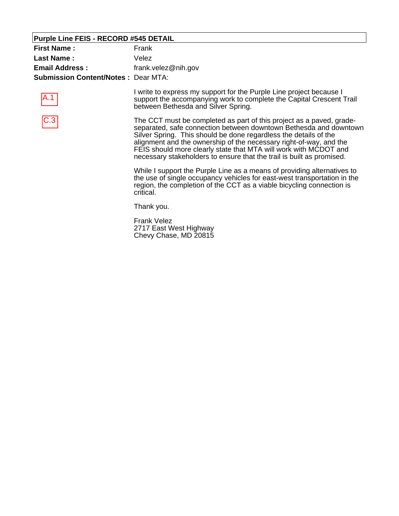#### **Purple Line FEIS - RECORD #545 DETAIL**

| <b>First Name:</b>                         | Frank               |
|--------------------------------------------|---------------------|
| Last Name:                                 | Velez               |
| <b>Email Address:</b>                      | frank.velez@nih.gov |
| <b>Submission Content/Notes: Dear MTA:</b> |                     |

A.1



I write to express my support for the Purple Line project because I support the accompanying work to complete the Capital Crescent Trail between Bethesda and Silver Spring.

The CCT must be completed as part of this project as a paved, gradeseparated, safe connection between downtown Bethesda and downtown Silver Spring. This should be done regardless the details of the alignment and the ownership of the necessary right-of-way, and the FEIS should more clearly state that MTA will work with MCDOT and necessary stakeholders to ensure that the trail is built as promised.

While I support the Purple Line as a means of providing alternatives to the use of single occupancy vehicles for east-west transportation in the region, the completion of the CCT as a viable bicycling connection is critical.

Thank you.

Frank Velez 2717 East West Highway Chevy Chase, MD 20815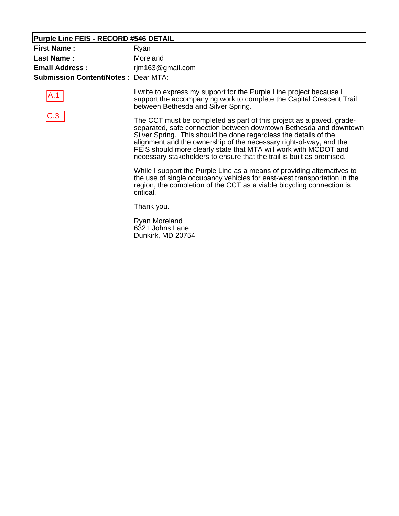#### **Purple Line FEIS - RECORD #546 DETAIL**

| <b>First Name:</b>                         | Ryan             |
|--------------------------------------------|------------------|
| Last Name:                                 | Moreland         |
| <b>Email Address:</b>                      | rjm163@gmail.com |
| <b>Submission Content/Notes: Dear MTA:</b> |                  |





I write to express my support for the Purple Line project because I support the accompanying work to complete the Capital Crescent Trail between Bethesda and Silver Spring.

The CCT must be completed as part of this project as a paved, gradeseparated, safe connection between downtown Bethesda and downtown Silver Spring. This should be done regardless the details of the alignment and the ownership of the necessary right-of-way, and the FEIS should more clearly state that MTA will work with MCDOT and necessary stakeholders to ensure that the trail is built as promised.

While I support the Purple Line as a means of providing alternatives to the use of single occupancy vehicles for east-west transportation in the region, the completion of the CCT as a viable bicycling connection is critical.

Thank you.

Ryan Moreland 6321 Johns Lane Dunkirk, MD 20754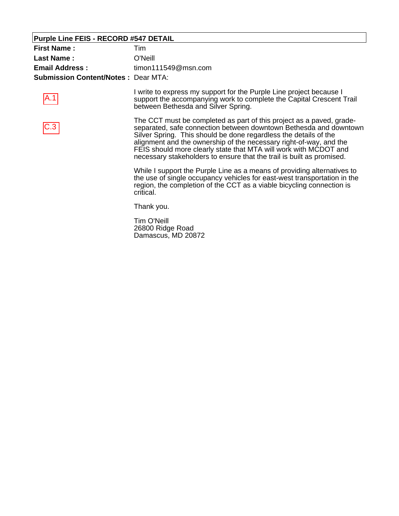#### **Purple Line FEIS - RECORD #547 DETAIL**

A.1

| <b>First Name:</b>                         | Tim                 |
|--------------------------------------------|---------------------|
| Last Name:                                 | O'Neill             |
| <b>Email Address:</b>                      | timon111549@msn.com |
| <b>Submission Content/Notes: Dear MTA:</b> |                     |

I write to express my support for the Purple Line project because I support the accompanying work to complete the Capital Crescent Trail between Bethesda and Silver Spring.

The CCT must be completed as part of this project as a paved, gradeseparated, safe connection between downtown Bethesda and downtown Silver Spring. This should be done regardless the details of the alignment and the ownership of the necessary right-of-way, and the FEIS should more clearly state that MTA will work with MCDOT and necessary stakeholders to ensure that the trail is built as promised. C.3

> While I support the Purple Line as a means of providing alternatives to the use of single occupancy vehicles for east-west transportation in the region, the completion of the CCT as a viable bicycling connection is critical.

Thank you.

Tim O'Neill 26800 Ridge Road Damascus, MD 20872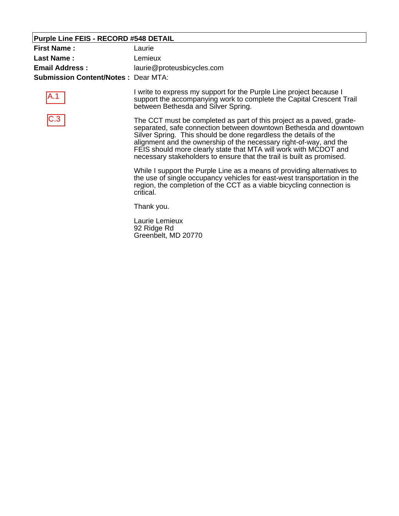#### **Purple Line FEIS - RECORD #548 DETAIL**

| <b>First Name:</b>                         | Laurie                     |
|--------------------------------------------|----------------------------|
| Last Name:                                 | Lemieux                    |
| <b>Email Address:</b>                      | laurie@proteusbicycles.com |
| <b>Submission Content/Notes: Dear MTA:</b> |                            |





I write to express my support for the Purple Line project because I support the accompanying work to complete the Capital Crescent Trail between Bethesda and Silver Spring.

The CCT must be completed as part of this project as a paved, gradeseparated, safe connection between downtown Bethesda and downtown Silver Spring. This should be done regardless the details of the alignment and the ownership of the necessary right-of-way, and the FEIS should more clearly state that MTA will work with MCDOT and necessary stakeholders to ensure that the trail is built as promised.

While I support the Purple Line as a means of providing alternatives to the use of single occupancy vehicles for east-west transportation in the region, the completion of the CCT as a viable bicycling connection is critical.

Thank you.

Laurie Lemieux 92 Ridge Rd Greenbelt, MD 20770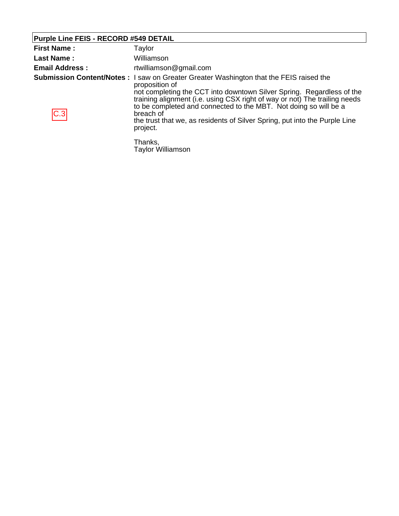#### **Purple Line FEIS - RECORD #549 DETAIL**

| <b>First Name:</b>    | Taylor                                                                                                                                                                                                                                                                                                                                                                                                                                             |
|-----------------------|----------------------------------------------------------------------------------------------------------------------------------------------------------------------------------------------------------------------------------------------------------------------------------------------------------------------------------------------------------------------------------------------------------------------------------------------------|
| <b>Last Name:</b>     | Williamson                                                                                                                                                                                                                                                                                                                                                                                                                                         |
| <b>Email Address:</b> | rtwilliamson@gmail.com                                                                                                                                                                                                                                                                                                                                                                                                                             |
| C.3                   | <b>Submission Content/Notes</b> : I saw on Greater Greater Washington that the FEIS raised the<br>proposition of<br>not completing the CCT into downtown Silver Spring. Regardless of the<br>training alignment (i.e. using CSX right of way or not) The trailing needs<br>to be completed and connected to the MBT. Not doing so will be a<br>breach of<br>the trust that we, as residents of Silver Spring, put into the Purple Line<br>project. |
|                       | Thanks,                                                                                                                                                                                                                                                                                                                                                                                                                                            |

Taylor Williamson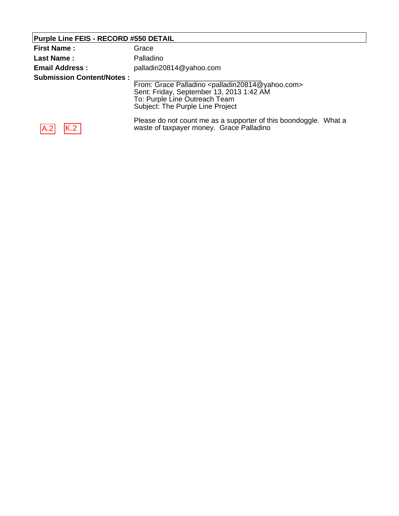# **Purple Line FEIS - RECORD #550 DETAIL**

| <b>First Name:</b>               | Grace                                                                                                                                                                                         |
|----------------------------------|-----------------------------------------------------------------------------------------------------------------------------------------------------------------------------------------------|
| <b>Last Name:</b>                | Palladino                                                                                                                                                                                     |
| <b>Email Address:</b>            | palladin20814@yahoo.com                                                                                                                                                                       |
| <b>Submission Content/Notes:</b> | From: Grace Palladino <palladin20814@yahoo.com><br/>Sent: Friday, September 13, 2013 1:42 AM<br/>To: Purple Line Outreach Team<br/>Subject: The Purple Line Project</palladin20814@yahoo.com> |
| K.2<br>IA.2                      | Please do not count me as a supporter of this boondoggle. What a<br>waste of taxpayer money. Grace Palladino                                                                                  |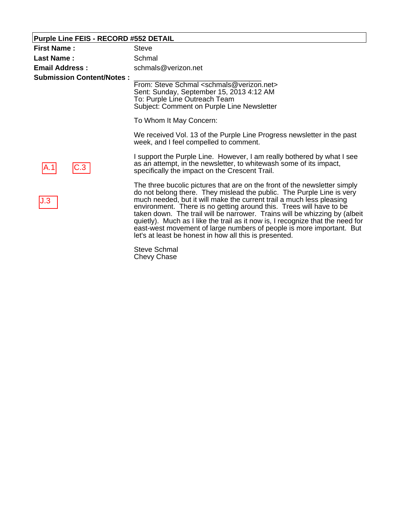#### **Purple Line FEIS - RECORD #552 DETAIL**

| <b>First Name:</b>               | <b>Steve</b>                                                                                                                                                                                                                                                                                                                                                                                                                                                                                                                                                                                        |
|----------------------------------|-----------------------------------------------------------------------------------------------------------------------------------------------------------------------------------------------------------------------------------------------------------------------------------------------------------------------------------------------------------------------------------------------------------------------------------------------------------------------------------------------------------------------------------------------------------------------------------------------------|
| <b>Last Name:</b>                | Schmal                                                                                                                                                                                                                                                                                                                                                                                                                                                                                                                                                                                              |
| <b>Email Address:</b>            | schmals@verizon.net                                                                                                                                                                                                                                                                                                                                                                                                                                                                                                                                                                                 |
| <b>Submission Content/Notes:</b> | From: Steve Schmal <schmals@verizon.net><br/>Sent: Sunday, September 15, 2013 4:12 AM<br/>To: Purple Line Outreach Team<br/>Subject: Comment on Purple Line Newsletter<br/>To Whom It May Concern:<br/>We received Vol. 13 of the Purple Line Progress newsletter in the past<br/>week, and I feel compelled to comment.</schmals@verizon.net>                                                                                                                                                                                                                                                      |
| C.3                              | I support the Purple Line. However, I am really bothered by what I see<br>as an attempt, in the newsletter, to whitewash some of its impact,<br>specifically the impact on the Crescent Trail.                                                                                                                                                                                                                                                                                                                                                                                                      |
| J.3                              | The three bucolic pictures that are on the front of the newsletter simply<br>do not belong there. They mislead the public. The Purple Line is very<br>much needed, but it will make the current trail a much less pleasing<br>environment. There is no getting around this. Trees will have to be<br>taken down. The trail will be narrower. Trains will be whizzing by (albeit<br>quietly). Much as I like the trail as it now is, I recognize that the need for<br>east-west movement of large numbers of people is more important. But<br>let's at least be honest in how all this is presented. |
|                                  | $\bigcap_{i=1}^{n}$ $\bigcap_{i=1}^{n}$ $\bigcap_{i=1}^{n}$ $\bigcap_{i=1}^{n}$ $\bigcap_{i=1}^{n}$                                                                                                                                                                                                                                                                                                                                                                                                                                                                                                 |

Steve Schmal Chevy Chase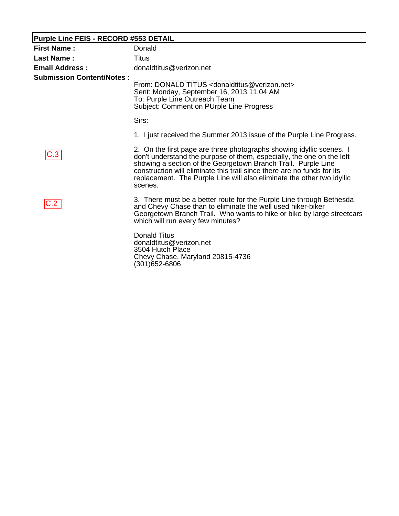| <b>Purple Line FEIS - RECORD #553 DETAIL</b> |                                                                                                                                                                                                                                                                                                                                                                                |  |
|----------------------------------------------|--------------------------------------------------------------------------------------------------------------------------------------------------------------------------------------------------------------------------------------------------------------------------------------------------------------------------------------------------------------------------------|--|
| <b>First Name:</b>                           | Donald                                                                                                                                                                                                                                                                                                                                                                         |  |
| <b>Last Name:</b>                            | Titus                                                                                                                                                                                                                                                                                                                                                                          |  |
| <b>Email Address:</b>                        | donaldtitus@verizon.net                                                                                                                                                                                                                                                                                                                                                        |  |
| <b>Submission Content/Notes:</b>             | From: DONALD TITUS <donaldtitus@verizon.net><br/>Sent: Monday, September 16, 2013 11:04 AM<br/>To: Purple Line Outreach Team<br/>Subject: Comment on PUrple Line Progress</donaldtitus@verizon.net>                                                                                                                                                                            |  |
|                                              | Sirs:                                                                                                                                                                                                                                                                                                                                                                          |  |
|                                              | 1. I just received the Summer 2013 issue of the Purple Line Progress.                                                                                                                                                                                                                                                                                                          |  |
| C.3                                          | 2. On the first page are three photographs showing idyllic scenes. I<br>don't understand the purpose of them, especially, the one on the left<br>showing a section of the Georgetown Branch Trail. Purple Line<br>construction will eliminate this trail since there are no funds for its<br>replacement. The Purple Line will also eliminate the other two idyllic<br>scenes. |  |
|                                              | 3. There must be a better route for the Purple Line through Bethesda<br>and Chevy Chase than to eliminate the well used hiker-biker<br>Georgetown Branch Trail. Who wants to hike or bike by large streetcars<br>which will run every few minutes?                                                                                                                             |  |
|                                              | <b>Donald Titus</b><br>donaldtitus@verizon.net<br>3504 Hutch Place<br>Chevy Chase, Maryland 20815-4736<br>(301)652-6806                                                                                                                                                                                                                                                        |  |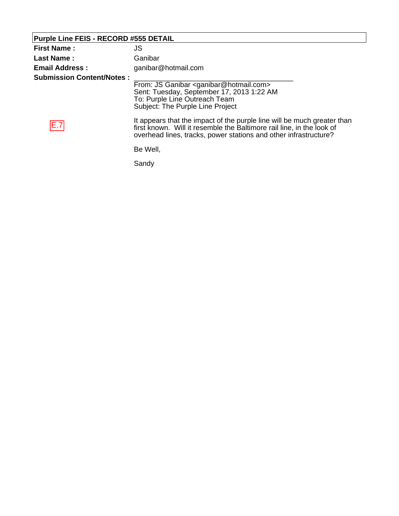| <b>Purple Line FEIS - RECORD #555 DETAIL</b> |                                                                                                                                                                                                                      |
|----------------------------------------------|----------------------------------------------------------------------------------------------------------------------------------------------------------------------------------------------------------------------|
| <b>First Name:</b>                           | JS                                                                                                                                                                                                                   |
| <b>Last Name:</b>                            | Ganibar                                                                                                                                                                                                              |
| <b>Email Address:</b>                        | ganibar@hotmail.com                                                                                                                                                                                                  |
| <b>Submission Content/Notes:</b>             | From: JS Ganibar <ganibar@hotmail.com><br/>Sent: Tuesday, September 17, 2013 1:22 AM<br/>To: Purple Line Outreach Team<br/>Subject: The Purple Line Project</ganibar@hotmail.com>                                    |
| E.7                                          | It appears that the impact of the purple line will be much greater than<br>first known. Will it resemble the Baltimore rail line, in the look of<br>overhead lines, tracks, power stations and other infrastructure? |
|                                              | Be Well,                                                                                                                                                                                                             |
|                                              | Sandy                                                                                                                                                                                                                |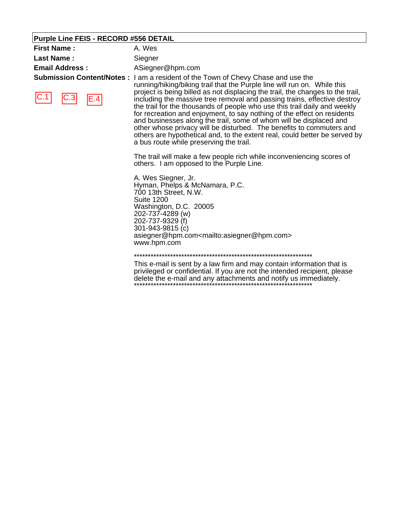#### **Purple Line FEIS - RECORD #556 DETAIL**

| <b>First Name:</b>                                      | A. Wes                |
|---------------------------------------------------------|-----------------------|
| <b>Last Name:</b>                                       | Siegner               |
| <b>Email Address :</b>                                  | ASiegner@hpm.com      |
| <b>Submission Content/Notes: I am a resident of the</b> | running/hiking/biking |

 $C.1$   $C.3$   $E.4$ 

**Ie Town of Chevy Chase and use the** g trail that the Purple line will run on. While this project is being billed as not displacing the trail, the changes to the trail, including the massive tree removal and passing trains, effective destroy the trail for the thousands of people who use this trail daily and weekly for recreation and enjoyment, to say nothing of the effect on residents and businesses along the trail, some of whom will be displaced and other whose privacy will be disturbed. The benefits to commuters and others are hypothetical and, to the extent real, could better be served by a bus route while preserving the trail.

The trail will make a few people rich while inconveniencing scores of others. I am opposed to the Purple Line.

A. Wes Siegner, Jr. Hyman, Phelps & McNamara, P.C. 700 13th Street, N.W. Suite 1200 Washington, D.C. 20005 202-737-4289 (w) 202-737-9329 (f) 301-943-9815 (c) asiegner@hpm.com<mailto:asiegner@hpm.com> www.hpm.com

#### \*\*\*\*\*\*\*\*\*\*\*\*\*\*\*\*\*\*\*\*\*\*\*\*\*\*\*\*\*\*\*\*\*\*\*\*\*\*\*\*\*\*\*\*\*\*\*\*\*\*\*\*\*\*\*\*\*\*\*\*\*\*\*\*

This e-mail is sent by a law firm and may contain information that is privileged or confidential. If you are not the intended recipient, please delete the e-mail and any attachments and notify us immediately. \*\*\*\*\*\*\*\*\*\*\*\*\*\*\*\*\*\*\*\*\*\*\*\*\*\*\*\*\*\*\*\*\*\*\*\*\*\*\*\*\*\*\*\*\*\*\*\*\*\*\*\*\*\*\*\*\*\*\*\*\*\*\*\*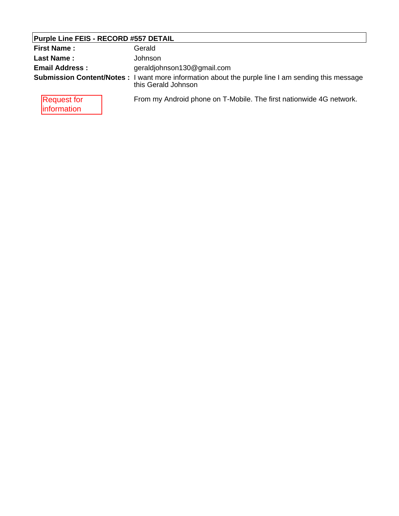# **Purple Line FEIS - RECORD #557 DETAIL**

| <b>First Name:</b>                       | Gerald                                                                                                                   |
|------------------------------------------|--------------------------------------------------------------------------------------------------------------------------|
| <b>Last Name:</b>                        | Johnson                                                                                                                  |
| <b>Email Address:</b>                    | geraldjohnson130@gmail.com                                                                                               |
|                                          | Submission Content/Notes: I want more information about the purple line I am sending this message<br>this Gerald Johnson |
| <b>Request for</b><br><b>information</b> | From my Android phone on T-Mobile. The first nationwide 4G network.                                                      |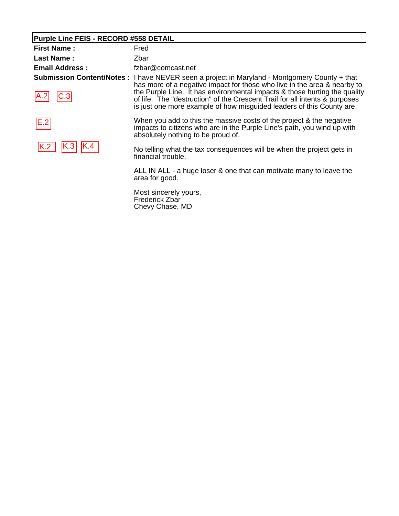# **Purple Line FEIS - RECORD #558 DETAIL**

| <b>First Name:</b>    | Fred                                                                                                                                                                                                                                                                                                                                                                                                                 |
|-----------------------|----------------------------------------------------------------------------------------------------------------------------------------------------------------------------------------------------------------------------------------------------------------------------------------------------------------------------------------------------------------------------------------------------------------------|
| <b>Last Name:</b>     | Zbar                                                                                                                                                                                                                                                                                                                                                                                                                 |
| <b>Email Address:</b> | fzbar@comcast.net                                                                                                                                                                                                                                                                                                                                                                                                    |
|                       | <b>Submission Content/Notes: I have NEVER seen a project in Maryland - Montgomery County + that</b><br>has more of a negative impact for those who live in the area & nearby to<br>the Purple Line. It has environmental impacts & those hurting the quality<br>of life. The "destruction" of the Crescent Trail for all intents & purposes<br>is just one more example of how misguided leaders of this County are. |
| E.2                   | When you add to this the massive costs of the project & the negative<br>impacts to citizens who are in the Purple Line's path, you wind up with<br>absolutely nothing to be proud of.                                                                                                                                                                                                                                |
|                       | No telling what the tax consequences will be when the project gets in<br>financial trouble.                                                                                                                                                                                                                                                                                                                          |
|                       | ALL IN ALL - a huge loser & one that can motivate many to leave the<br>area for good.                                                                                                                                                                                                                                                                                                                                |
|                       | Most sincerely yours,<br>Frederick Zbar                                                                                                                                                                                                                                                                                                                                                                              |

Chevy Chase, MD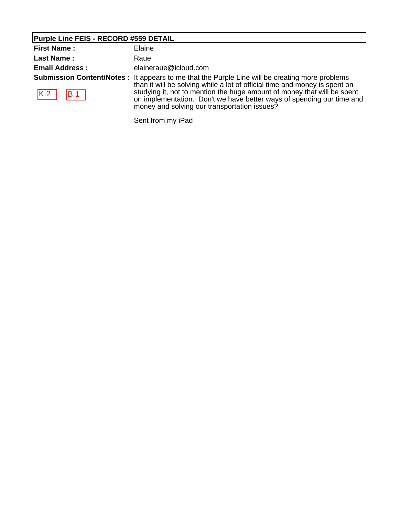# **Purple Line FEIS - RECORD #559 DETAIL**

| <b>First Name:</b>    | Elaine                                                                                                                                                                                                                                                                                                                                                                                   |
|-----------------------|------------------------------------------------------------------------------------------------------------------------------------------------------------------------------------------------------------------------------------------------------------------------------------------------------------------------------------------------------------------------------------------|
| <b>Last Name:</b>     | Raue                                                                                                                                                                                                                                                                                                                                                                                     |
| <b>Email Address:</b> | elaineraue@icloud.com                                                                                                                                                                                                                                                                                                                                                                    |
| K.2<br> B.1           | <b>Submission Content/Notes</b> : It appears to me that the Purple Line will be creating more problems<br>than it will be solving while a lot of official time and money is spent on<br>studying it, not to mention the huge amount of money that will be spent<br>on implementation. Don't we have better ways of spending our time and<br>money and solving our transportation issues? |

Sent from my iPad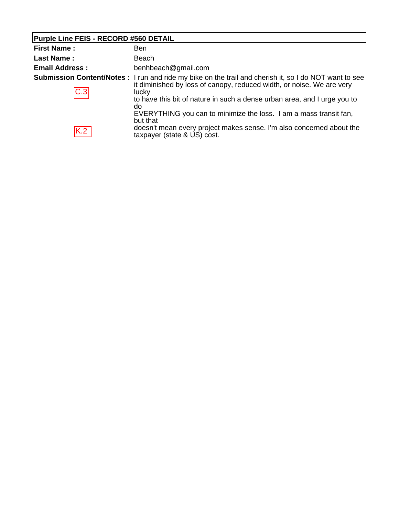# **Purple Line FEIS - RECORD #560 DETAIL**

| <b>First Name:</b>    | Ben                                                                                                                                                                                                                                                                                                                                                                |
|-----------------------|--------------------------------------------------------------------------------------------------------------------------------------------------------------------------------------------------------------------------------------------------------------------------------------------------------------------------------------------------------------------|
| <b>Last Name:</b>     | Beach                                                                                                                                                                                                                                                                                                                                                              |
| <b>Email Address:</b> | benhbeach@gmail.com                                                                                                                                                                                                                                                                                                                                                |
| C.3                   | <b>Submission Content/Notes</b> : I run and ride my bike on the trail and cherish it, so I do NOT want to see<br>it diminished by loss of canopy, reduced width, or noise. We are very<br>lucky<br>to have this bit of nature in such a dense urban area, and I urge you to<br>do<br>EVERYTHING you can to minimize the loss. I am a mass transit fan,<br>but that |
| K.2                   | doesn't mean every project makes sense. I'm also concerned about the<br>taxpayer (state & US) cost.                                                                                                                                                                                                                                                                |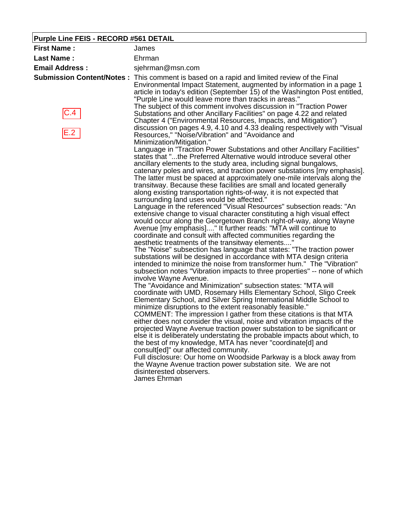# **Purple Line FEIS - RECORD #561 DETAIL**

| <b>First Name:</b>    | James                                                                                                                                                                                                                                                                                                                                                                                                                                                                                                                                                                                                                                                                                                                                                                                                                                                                                                                                                                                                                                                                                                                                                                                                                                                                                                                                                                                                                                                                                                                                                                                                                                                                                                                                                                                                                                                                                                                                                                                                                                                                                                                                                                                     |
|-----------------------|-------------------------------------------------------------------------------------------------------------------------------------------------------------------------------------------------------------------------------------------------------------------------------------------------------------------------------------------------------------------------------------------------------------------------------------------------------------------------------------------------------------------------------------------------------------------------------------------------------------------------------------------------------------------------------------------------------------------------------------------------------------------------------------------------------------------------------------------------------------------------------------------------------------------------------------------------------------------------------------------------------------------------------------------------------------------------------------------------------------------------------------------------------------------------------------------------------------------------------------------------------------------------------------------------------------------------------------------------------------------------------------------------------------------------------------------------------------------------------------------------------------------------------------------------------------------------------------------------------------------------------------------------------------------------------------------------------------------------------------------------------------------------------------------------------------------------------------------------------------------------------------------------------------------------------------------------------------------------------------------------------------------------------------------------------------------------------------------------------------------------------------------------------------------------------------------|
| <b>Last Name:</b>     | Ehrman                                                                                                                                                                                                                                                                                                                                                                                                                                                                                                                                                                                                                                                                                                                                                                                                                                                                                                                                                                                                                                                                                                                                                                                                                                                                                                                                                                                                                                                                                                                                                                                                                                                                                                                                                                                                                                                                                                                                                                                                                                                                                                                                                                                    |
| <b>Email Address:</b> | sjehrman@msn.com                                                                                                                                                                                                                                                                                                                                                                                                                                                                                                                                                                                                                                                                                                                                                                                                                                                                                                                                                                                                                                                                                                                                                                                                                                                                                                                                                                                                                                                                                                                                                                                                                                                                                                                                                                                                                                                                                                                                                                                                                                                                                                                                                                          |
| C.4<br>E.2            | Submission Content/Notes: This comment is based on a rapid and limited review of the Final<br>Environmental Impact Statement, augmented by information in a page 1<br>article in today's edition (September 15) of the Washington Post entitled,<br>"Purple Line would leave more than tracks in areas."<br>The subject of this comment involves discussion in "Traction Power<br>Substations and other Ancillary Facilities" on page 4.22 and related<br>Chapter 4 ("Environmental Resources, Impacts, and Mitigation")<br>discussion on pages 4.9, 4.10 and 4.33 dealing respectively with "Visual<br>Resources," "Noise/Vibration" and "Avoidance and<br>Minimization/Mitigation."                                                                                                                                                                                                                                                                                                                                                                                                                                                                                                                                                                                                                                                                                                                                                                                                                                                                                                                                                                                                                                                                                                                                                                                                                                                                                                                                                                                                                                                                                                     |
|                       | Language in "Traction Power Substations and other Ancillary Facilities"<br>states that "the Preferred Alternative would introduce several other<br>ancillary elements to the study area, including signal bungalows,<br>catenary poles and wires, and traction power substations [my emphasis].<br>The latter must be spaced at approximately one-mile intervals along the<br>transitway. Because these facilities are small and located generally<br>along existing transportation rights-of-way, it is not expected that<br>surrounding land uses would be affected."<br>Language in the referenced "Visual Resources" subsection reads: "An<br>extensive change to visual character constituting a high visual effect<br>would occur along the Georgetown Branch right-of-way, along Wayne<br>Avenue [my emphasis]" It further reads: "MTA will continue to<br>coordinate and consult with affected communities regarding the<br>aesthetic treatments of the transitway elements"<br>The "Noise" subsection has language that states: "The traction power<br>substations will be designed in accordance with MTA design criteria<br>intended to minimize the noise from transformer hum." The "Vibration"<br>subsection notes "Vibration impacts to three properties" -- none of which<br>involve Wayne Avenue.<br>The "Avoidance and Minimization" subsection states: "MTA will<br>coordinate with UMD, Rosemary Hills Elementary School, Sligo Creek<br>Elementary School, and Silver Spring International Middle School to<br>minimize disruptions to the extent reasonably feasible."<br>COMMENT: The impression I gather from these citations is that MTA<br>either does not consider the visual, noise and vibration impacts of the<br>projected Wayne Avenue traction power substation to be significant or<br>else it is deliberately understating the probable impacts about which, to<br>the best of my knowledge, MTA has never "coordinate[d] and<br>consult[ed]" our affected community.<br>Full disclosure: Our home on Woodside Parkway is a block away from<br>the Wayne Avenue traction power substation site. We are not<br>disinterested observers.<br>James Ehrman |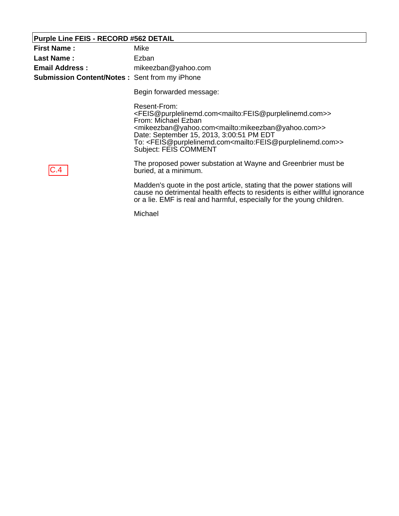# **Purple Line FEIS - RECORD #562 DETAIL**

| <b>First Name:</b>                                   | Mike                                                                                                                                                                                                                                                                                                                                                                                                                                                         |
|------------------------------------------------------|--------------------------------------------------------------------------------------------------------------------------------------------------------------------------------------------------------------------------------------------------------------------------------------------------------------------------------------------------------------------------------------------------------------------------------------------------------------|
| <b>Last Name:</b>                                    | Ezban                                                                                                                                                                                                                                                                                                                                                                                                                                                        |
| <b>Email Address :</b>                               | mikeezban@yahoo.com                                                                                                                                                                                                                                                                                                                                                                                                                                          |
| <b>Submission Content/Notes: Sent from my iPhone</b> |                                                                                                                                                                                                                                                                                                                                                                                                                                                              |
|                                                      | Begin forwarded message:                                                                                                                                                                                                                                                                                                                                                                                                                                     |
|                                                      | Resent-From:<br><feis@purplelinemd.com<mailto:feis@purplelinemd.com>&gt;<br/>From: Michael Ezban<br/><mikeezban@yahoo.com<mailto:mikeezban@yahoo.com>&gt;<br/>Date: September 15, 2013, 3:00:51 PM EDT<br/>To: <feis@purplelinemd.com<mailto:feis@purplelinemd.com>&gt;<br/>Subject: FEIS COMMENT</feis@purplelinemd.com<mailto:feis@purplelinemd.com></mikeezban@yahoo.com<mailto:mikeezban@yahoo.com></feis@purplelinemd.com<mailto:feis@purplelinemd.com> |
|                                                      | The proposed power substation at Wayne and Greenbrier must be<br>buried, at a minimum.                                                                                                                                                                                                                                                                                                                                                                       |
|                                                      | Madden's quote in the post article, stating that the power stations will<br>cause no detrimental health effects to residents is either willful ignorance<br>or a lie. EMF is real and harmful, especially for the young children.                                                                                                                                                                                                                            |
|                                                      | Michael                                                                                                                                                                                                                                                                                                                                                                                                                                                      |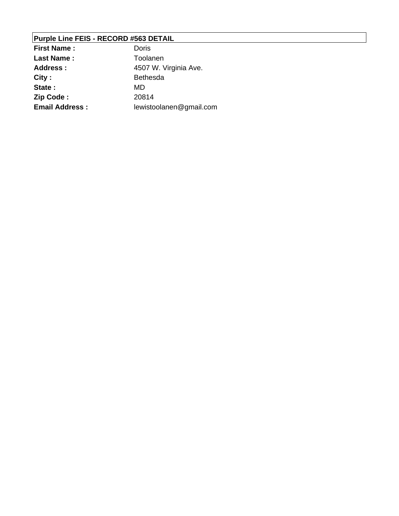# **Purple Line FEIS - RECORD #563 DETAIL**

| <b>First Name:</b>    | Doris                   |
|-----------------------|-------------------------|
| <b>Last Name:</b>     | Toolanen                |
| <b>Address:</b>       | 4507 W. Virginia Ave.   |
| City:                 | <b>Bethesda</b>         |
| State:                | MD                      |
| Zip Code:             | 20814                   |
| <b>Email Address:</b> | lewistoolanen@gmail.com |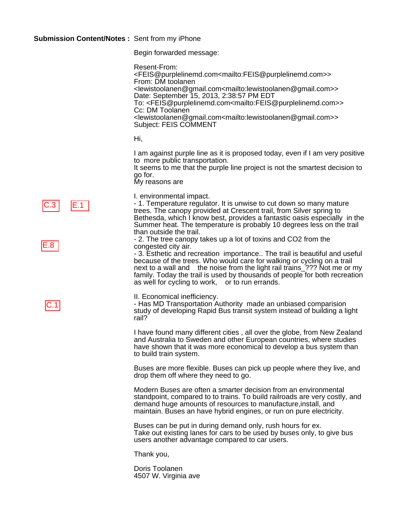Begin forwarded message:

Resent-From: <FEIS@purplelinemd.com<mailto:FEIS@purplelinemd.com>> From: DM toolanen <lewistoolanen@gmail.com<mailto:lewistoolanen@gmail.com>> Date: September 15, 2013, 2:38:57 PM EDT To: <FEIS@purplelinemd.com<mailto:FEIS@purplelinemd.com>> Cc: DM Toolanen <lewistoolanen@gmail.com<mailto:lewistoolanen@gmail.com>> Subject: FEIS COMMENT

Hi,

I am against purple line as it is proposed today, even if I am very positive to more public transportation.

It seems to me that the purple line project is not the smartest decision to go for.

My reasons are

C.3 E.1<br>E.8  $\overline{C.1}$ 



I. environmental impact.

- 1. Temperature regulator. It is unwise to cut down so many mature trees. The canopy provided at Crescent trail, from Silver spring to Bethesda, which I know best, provides a fantastic oasis especially in the Summer heat. The temperature is probably 10 degrees less on the trail than outside the trail.

- 2. The tree canopy takes up a lot of toxins and CO2 from the congested city air.

- 3. Esthetic and recreation importance.. The trail is beautiful and useful because of the trees. Who would care for walking or cycling on a trail next to a wall and the noise from the light rail trains\_??? Not me or my family. Today the trail is used by thousands of people for both recreation as well for cycling to work, or to run errands.

II. Economical inefficiency.

- Has MD Transportation Authority made an unbiased comparision study of developing Rapid Bus transit system instead of building a light rail?

I have found many different cities , all over the globe, from New Zealand and Australia to Sweden and other European countries, where studies have shown that it was more economical to develop a bus system than to build train system.

Buses are more flexible. Buses can pick up people where they live, and drop them off where they need to go.

Modern Buses are often a smarter decision from an environmental standpoint, compared to to trains. To build railroads are very costly, and demand huge amounts of resources to manufacture,install, and maintain. Buses an have hybrid engines, or run on pure electricity.

Buses can be put in during demand only, rush hours for ex. Take out existing lanes for cars to be used by buses only, to give bus users another advantage compared to car users.

Thank you,

Doris Toolanen 4507 W. Virginia ave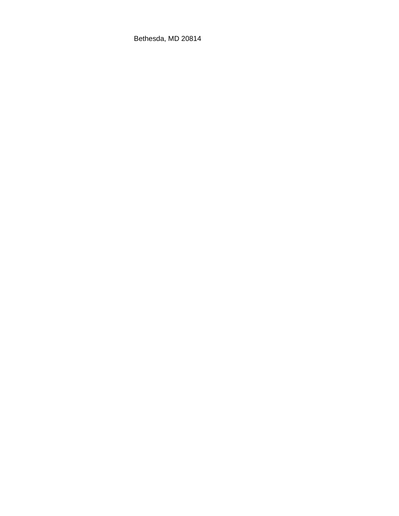Bethesda, MD 20814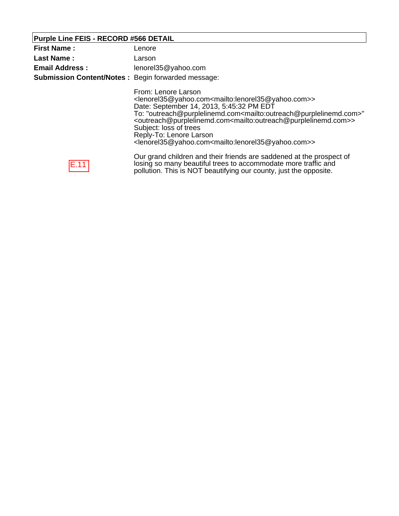# **Purple Line FEIS - RECORD #566 DETAIL**

| <b>First Name:</b><br><b>Last Name:</b><br><b>Email Address:</b><br><b>Submission Content/Notes: Begin forwarded message:</b> | Lenore<br>Larson<br>lenorel35@yahoo.com                                                                                                                                                                                                                                                                                                                                                                                                                                                                                                                                               |
|-------------------------------------------------------------------------------------------------------------------------------|---------------------------------------------------------------------------------------------------------------------------------------------------------------------------------------------------------------------------------------------------------------------------------------------------------------------------------------------------------------------------------------------------------------------------------------------------------------------------------------------------------------------------------------------------------------------------------------|
|                                                                                                                               | From: Lenore Larson<br><lenorel35@yahoo.com<mailto:lenorel35@yahoo.com>&gt;<br/>Date: September 14, 2013, 5:45:32 PM EDT<br/>To: "outreach@purplelinemd.com<mailto:outreach@purplelinemd.com>"<br/><outreach@purplelinemd.com<mailto:outreach@purplelinemd.com>&gt;<br/>Subject: loss of trees<br/>Reply-To: Lenore Larson<br/><lenorel35@yahoo.com<mailto:lenorel35@yahoo.com>&gt;</lenorel35@yahoo.com<mailto:lenorel35@yahoo.com></outreach@purplelinemd.com<mailto:outreach@purplelinemd.com></mailto:outreach@purplelinemd.com></lenorel35@yahoo.com<mailto:lenorel35@yahoo.com> |
| H. 1.                                                                                                                         | Our grand children and their friends are saddened at the prospect of<br>losing so many beautiful trees to accommodate more traffic and<br>pollution. This is NOT beautifying our county, just the opposite.                                                                                                                                                                                                                                                                                                                                                                           |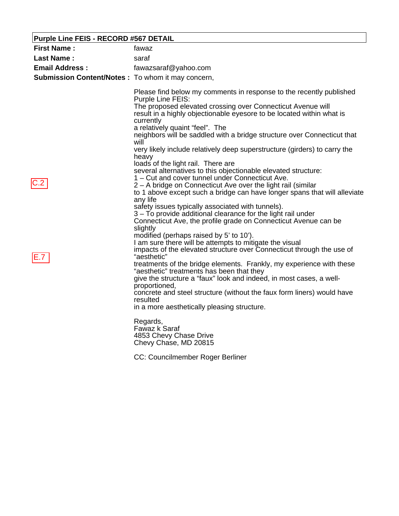# **Purple Line FEIS - RECORD #567 DETAIL**

| <b>First Name:</b>                                | fawaz                                                                                                                                                                                                                                                                                                                                                                                                                                                                                                                                                                                                                                                                                                                                                                                                                                                                                                                                                                                                                                                                                                                                                                                                                                                                                                |
|---------------------------------------------------|------------------------------------------------------------------------------------------------------------------------------------------------------------------------------------------------------------------------------------------------------------------------------------------------------------------------------------------------------------------------------------------------------------------------------------------------------------------------------------------------------------------------------------------------------------------------------------------------------------------------------------------------------------------------------------------------------------------------------------------------------------------------------------------------------------------------------------------------------------------------------------------------------------------------------------------------------------------------------------------------------------------------------------------------------------------------------------------------------------------------------------------------------------------------------------------------------------------------------------------------------------------------------------------------------|
| <b>Last Name:</b>                                 | saraf                                                                                                                                                                                                                                                                                                                                                                                                                                                                                                                                                                                                                                                                                                                                                                                                                                                                                                                                                                                                                                                                                                                                                                                                                                                                                                |
| <b>Email Address:</b>                             | fawazsaraf@yahoo.com                                                                                                                                                                                                                                                                                                                                                                                                                                                                                                                                                                                                                                                                                                                                                                                                                                                                                                                                                                                                                                                                                                                                                                                                                                                                                 |
| Submission Content/Notes: To whom it may concern, |                                                                                                                                                                                                                                                                                                                                                                                                                                                                                                                                                                                                                                                                                                                                                                                                                                                                                                                                                                                                                                                                                                                                                                                                                                                                                                      |
| C.2                                               | Please find below my comments in response to the recently published<br>Purple Line FEIS:<br>The proposed elevated crossing over Connecticut Avenue will<br>result in a highly objectionable eyesore to be located within what is<br>currently<br>a relatively quaint "feel". The<br>neighbors will be saddled with a bridge structure over Connecticut that<br>will<br>very likely include relatively deep superstructure (girders) to carry the<br>heavy<br>loads of the light rail. There are<br>several alternatives to this objectionable elevated structure:<br>1 – Cut and cover tunnel under Connecticut Ave.<br>2 – A bridge on Connecticut Ave over the light rail (similar<br>to 1 above except such a bridge can have longer spans that will alleviate<br>any life<br>safety issues typically associated with tunnels).<br>3 – To provide additional clearance for the light rail under<br>Connecticut Ave, the profile grade on Connecticut Avenue can be<br>slightly<br>modified (perhaps raised by 5' to 10').<br>I am sure there will be attempts to mitigate the visual<br>impacts of the elevated structure over Connecticut through the use of<br>"aesthetic"<br>treatments of the bridge elements. Frankly, my experience with these<br>"aesthetic" treatments has been that they |
|                                                   | give the structure a "faux" look and indeed, in most cases, a well-<br>proportioned,<br>concrete and steel structure (without the faux form liners) would have                                                                                                                                                                                                                                                                                                                                                                                                                                                                                                                                                                                                                                                                                                                                                                                                                                                                                                                                                                                                                                                                                                                                       |
|                                                   | resulted                                                                                                                                                                                                                                                                                                                                                                                                                                                                                                                                                                                                                                                                                                                                                                                                                                                                                                                                                                                                                                                                                                                                                                                                                                                                                             |
|                                                   | in a more aesthetically pleasing structure.                                                                                                                                                                                                                                                                                                                                                                                                                                                                                                                                                                                                                                                                                                                                                                                                                                                                                                                                                                                                                                                                                                                                                                                                                                                          |
|                                                   | Regards,<br>Fawaz k Saraf<br>4853 Chevy Chase Drive<br>Chevy Chase, MD 20815                                                                                                                                                                                                                                                                                                                                                                                                                                                                                                                                                                                                                                                                                                                                                                                                                                                                                                                                                                                                                                                                                                                                                                                                                         |
|                                                   | CC: Councilmember Roger Berliner                                                                                                                                                                                                                                                                                                                                                                                                                                                                                                                                                                                                                                                                                                                                                                                                                                                                                                                                                                                                                                                                                                                                                                                                                                                                     |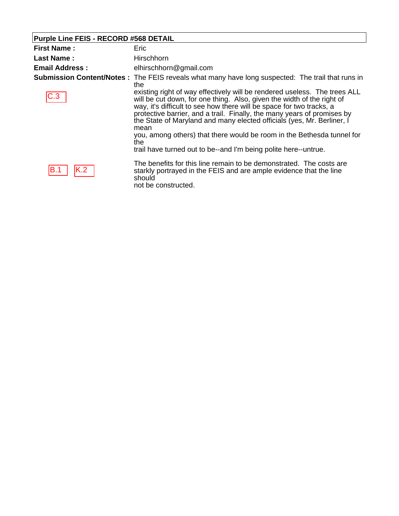# **Purple Line FEIS - RECORD #568 DETAIL**

| <b>First Name:</b>    | Eric                                                                                                                                                                                                                                                                                                                                                                                                                                                                                                                                          |
|-----------------------|-----------------------------------------------------------------------------------------------------------------------------------------------------------------------------------------------------------------------------------------------------------------------------------------------------------------------------------------------------------------------------------------------------------------------------------------------------------------------------------------------------------------------------------------------|
| <b>Last Name:</b>     | Hirschhorn                                                                                                                                                                                                                                                                                                                                                                                                                                                                                                                                    |
| <b>Email Address:</b> | elhirschhorn@gmail.com                                                                                                                                                                                                                                                                                                                                                                                                                                                                                                                        |
|                       | Submission Content/Notes: The FEIS reveals what many have long suspected: The trail that runs in<br>the                                                                                                                                                                                                                                                                                                                                                                                                                                       |
| C.3                   | existing right of way effectively will be rendered useless. The trees ALL<br>will be cut down, for one thing. Also, given the width of the right of<br>way, it's difficult to see how there will be space for two tracks, a<br>protective barrier, and a trail. Finally, the many years of promises by<br>the State of Maryland and many elected officials (yes, Mr. Berliner, I<br>mean<br>you, among others) that there would be room in the Bethesda tunnel for<br>the.<br>trail have turned out to be--and I'm being polite here--untrue. |
| K.2<br>IB.1           | The benefits for this line remain to be demonstrated. The costs are<br>starkly portrayed in the FEIS and are ample evidence that the line<br>should<br>not be constructed.                                                                                                                                                                                                                                                                                                                                                                    |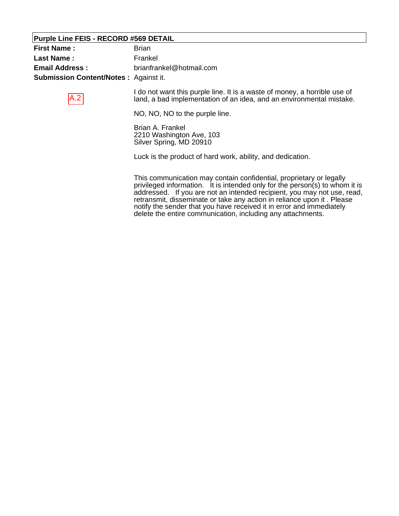#### **Purple Line FEIS - RECORD #569 DETAIL**

A.2

| <b>First Name:</b>                           | Brian                    |
|----------------------------------------------|--------------------------|
| Last Name :                                  | Frankel                  |
| <b>Email Address :</b>                       | brianfrankel@hotmail.com |
| <b>Submission Content/Notes: Against it.</b> |                          |

I do not want this purple line. It is a waste of money, a horrible use of land, a bad implementation of an idea, and an environmental mistake.

NO, NO, NO to the purple line.

Brian A. Frankel 2210 Washington Ave, 103 Silver Spring, MD 20910

Luck is the product of hard work, ability, and dedication.

This communication may contain confidential, proprietary or legally privileged information. It is intended only for the person(s) to whom it is addressed. If you are not an intended recipient, you may not use, read, retransmit, disseminate or take any action in reliance upon it . Please notify the sender that you have received it in error and immediately delete the entire communication, including any attachments.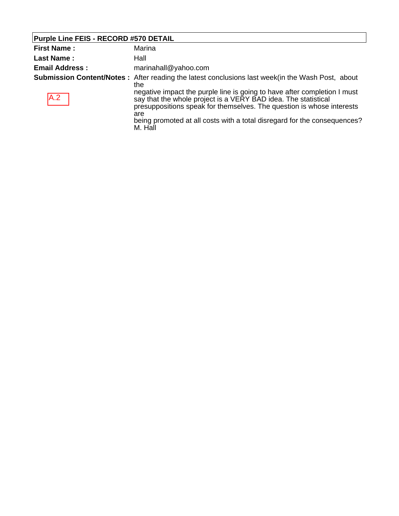# **Purple Line FEIS - RECORD #570 DETAIL**

| <b>First Name:</b>    | Marina                                                                                                                                                                                                                                                                                                                                                                                                                               |
|-----------------------|--------------------------------------------------------------------------------------------------------------------------------------------------------------------------------------------------------------------------------------------------------------------------------------------------------------------------------------------------------------------------------------------------------------------------------------|
| <b>Last Name:</b>     | Hall                                                                                                                                                                                                                                                                                                                                                                                                                                 |
| <b>Email Address:</b> | marinahall@yahoo.com                                                                                                                                                                                                                                                                                                                                                                                                                 |
| <b>IA.2</b>           | <b>Submission Content/Notes</b> : After reading the latest conclusions last week(in the Wash Post, about<br>the<br>negative impact the purple line is going to have after completion I must<br>say that the whole project is a VERY BAD idea. The statistical<br>presuppositions speak for themselves. The question is whose interests<br>are<br>being promoted at all costs with a total disregard for the consequences?<br>M. Hall |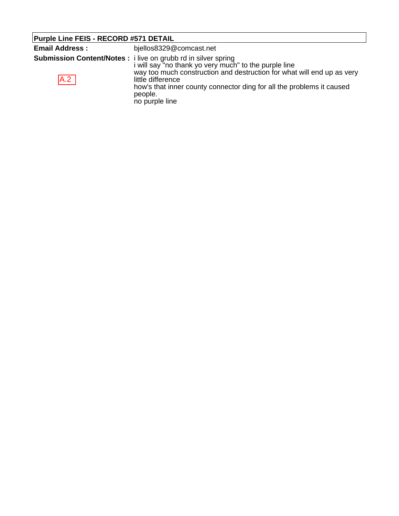| Purple Line FEIS - RECORD #571 DETAIL |                                                                                                                                                                                                                                                                                                                                    |
|---------------------------------------|------------------------------------------------------------------------------------------------------------------------------------------------------------------------------------------------------------------------------------------------------------------------------------------------------------------------------------|
| <b>Email Address:</b>                 | bjellos8329@comcast.net                                                                                                                                                                                                                                                                                                            |
| A.2                                   | <b>Submission Content/Notes:</b> i live on grubb rd in silver spring<br>i will say "no thank yo very much" to the purple line<br>way too much construction and destruction for what will end up as very<br>little difference<br>how's that inner county connector ding for all the problems it caused<br>people.<br>no purple line |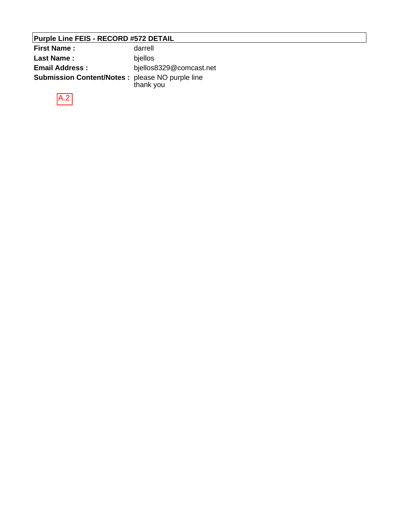# **Purple Line FEIS - RECORD #572 DETAIL**

| <b>First Name:</b>                               | darrell                 |
|--------------------------------------------------|-------------------------|
| Last Name:                                       | bjellos                 |
| <b>Email Address:</b>                            | bjellos8329@comcast.net |
| Submission Content/Notes : please NO purple line | thank you               |

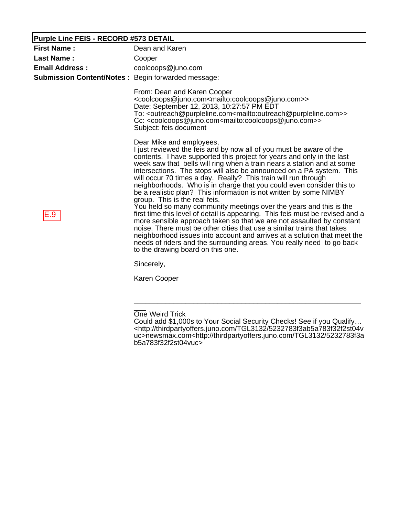#### **Purple Line FEIS - RECORD #573 DETAIL**

| <b>First Name:</b>                                        | Dean and Karen                                                                                                                                                                                                                                                                                                                                                                                                                                                                                                                                                                                                                                                                                                                                                                                                                                                                                                                                                                                                                                                                   |
|-----------------------------------------------------------|----------------------------------------------------------------------------------------------------------------------------------------------------------------------------------------------------------------------------------------------------------------------------------------------------------------------------------------------------------------------------------------------------------------------------------------------------------------------------------------------------------------------------------------------------------------------------------------------------------------------------------------------------------------------------------------------------------------------------------------------------------------------------------------------------------------------------------------------------------------------------------------------------------------------------------------------------------------------------------------------------------------------------------------------------------------------------------|
| <b>Last Name:</b>                                         | Cooper                                                                                                                                                                                                                                                                                                                                                                                                                                                                                                                                                                                                                                                                                                                                                                                                                                                                                                                                                                                                                                                                           |
| <b>Email Address:</b>                                     | coolcoops@juno.com                                                                                                                                                                                                                                                                                                                                                                                                                                                                                                                                                                                                                                                                                                                                                                                                                                                                                                                                                                                                                                                               |
| <b>Submission Content/Notes: Begin forwarded message:</b> |                                                                                                                                                                                                                                                                                                                                                                                                                                                                                                                                                                                                                                                                                                                                                                                                                                                                                                                                                                                                                                                                                  |
|                                                           | From: Dean and Karen Cooper<br><coolcoops@juno.com<mailto:coolcoops@juno.com>&gt;<br/>Date: September 12, 2013, 10:27:57 PM EDT<br/>To: <outreach@purpleline.com<mailto:outreach@purpleline.com>&gt;<br/>Cc: <coolcoops@juno.com<mailto:coolcoops@juno.com>&gt;<br/>Subject: feis document</coolcoops@juno.com<mailto:coolcoops@juno.com></outreach@purpleline.com<mailto:outreach@purpleline.com></coolcoops@juno.com<mailto:coolcoops@juno.com>                                                                                                                                                                                                                                                                                                                                                                                                                                                                                                                                                                                                                                |
| E.9                                                       | Dear Mike and employees,<br>I just reviewed the feis and by now all of you must be aware of the<br>contents. I have supported this project for years and only in the last<br>week saw that bells will ring when a train nears a station and at some<br>intersections. The stops will also be announced on a PA system. This<br>will occur 70 times a day. Really? This train will run through<br>neighborhoods. Who is in charge that you could even consider this to<br>be a realistic plan? This information is not written by some NIMBY<br>group. This is the real feis.<br>You held so many community meetings over the years and this is the<br>first time this level of detail is appearing. This feis must be revised and a<br>more sensible approach taken so that we are not assaulted by constant<br>noise. There must be other cities that use a similar trains that takes<br>neighborhood issues into account and arrives at a solution that meet the<br>needs of riders and the surrounding areas. You really need to go back<br>to the drawing board on this one. |
|                                                           | Sincerely,                                                                                                                                                                                                                                                                                                                                                                                                                                                                                                                                                                                                                                                                                                                                                                                                                                                                                                                                                                                                                                                                       |
|                                                           | Karen Cooper                                                                                                                                                                                                                                                                                                                                                                                                                                                                                                                                                                                                                                                                                                                                                                                                                                                                                                                                                                                                                                                                     |
|                                                           |                                                                                                                                                                                                                                                                                                                                                                                                                                                                                                                                                                                                                                                                                                                                                                                                                                                                                                                                                                                                                                                                                  |

 $\overline{\phantom{a}}$ One Weird Trick

Could add \$1,000s to Your Social Security Checks! See if you Qualify… <http://thirdpartyoffers.juno.com/TGL3132/5232783f3ab5a783f32f2st04v uc>newsmax.com<http://thirdpartyoffers.juno.com/TGL3132/5232783f3a b5a783f32f2st04vuc>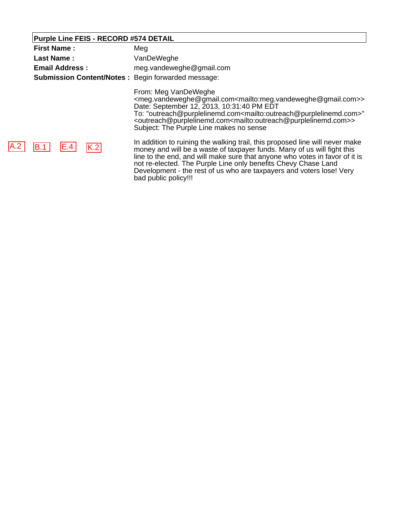# **Purple Line FEIS - RECORD #574 DETAIL**

 $|A.2|$ 

| <b>First Name:</b><br><b>Last Name:</b><br><b>Email Address:</b><br><b>Submission Content/Notes: Begin forwarded message:</b> | Meg<br>VanDeWeghe<br>meg.vandeweghe@gmail.com                                                                                                                                                                                                                                                                                                                                                                                                                                          |
|-------------------------------------------------------------------------------------------------------------------------------|----------------------------------------------------------------------------------------------------------------------------------------------------------------------------------------------------------------------------------------------------------------------------------------------------------------------------------------------------------------------------------------------------------------------------------------------------------------------------------------|
|                                                                                                                               | From: Meg VanDeWeghe<br><meg.vandeweghe@gmail.com<mailto:meg.vandeweghe@gmail.com>&gt;<br/>Date: September 12, 2013, 10:31:40 PM EDT<br/>To: "outreach@purplelinemd.com<mailto:outreach@purplelinemd.com>"<br/><outreach@purplelinemd.com<mailto:outreach@purplelinemd.com>&gt;<br/>Subject: The Purple Line makes no sense</outreach@purplelinemd.com<mailto:outreach@purplelinemd.com></mailto:outreach@purplelinemd.com></meg.vandeweghe@gmail.com<mailto:meg.vandeweghe@gmail.com> |
| IE.4<br> K.2 <br>IB.1                                                                                                         | In addition to ruining the walking trail, this proposed line will never make<br>money and will be a waste of taxpayer funds. Many of us will fight this<br>line to the end, and will make sure that anyone who votes in favor of it is<br>not re-elected. The Purple Line only benefits Chevy Chase Land<br>Development - the rest of us who are taxpayers and voters lose! Very                                                                                                       |

bad public policy!!!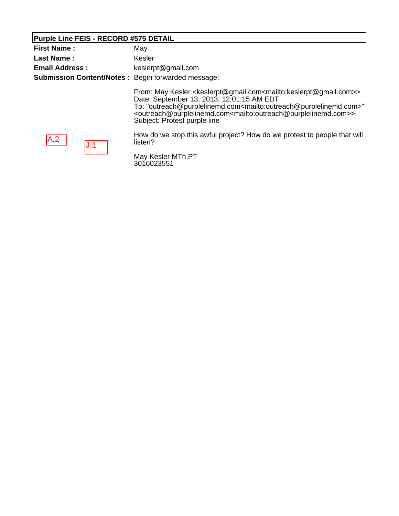#### **Purple Line FEIS - RECORD #575 DETAIL**

| <b>First Name:</b>    | May                                                                                                                                                                                                                                                                                                                                                                                                                                          |
|-----------------------|----------------------------------------------------------------------------------------------------------------------------------------------------------------------------------------------------------------------------------------------------------------------------------------------------------------------------------------------------------------------------------------------------------------------------------------------|
| <b>Last Name:</b>     | Kesler                                                                                                                                                                                                                                                                                                                                                                                                                                       |
| <b>Email Address:</b> | keslerpt@gmail.com                                                                                                                                                                                                                                                                                                                                                                                                                           |
|                       | <b>Submission Content/Notes: Begin forwarded message:</b>                                                                                                                                                                                                                                                                                                                                                                                    |
|                       | From: May Kesler <keslerpt@gmail.com<mailto:keslerpt@gmail.com>&gt;<br/>Date: September 13, 2013, 12:01:15 AM EDT<br/>To: "outreach@purplelinemd.com<mailto:outreach@purplelinemd.com>"<br/><outreach@purplelinemd.com<mailto:outreach@purplelinemd.com>&gt;<br/>Subject: Protest purple line</outreach@purplelinemd.com<mailto:outreach@purplelinemd.com></mailto:outreach@purplelinemd.com></keslerpt@gmail.com<mailto:keslerpt@gmail.com> |
| A.2                   | How do we stop this awful project? How do we protest to people that will<br>listen?                                                                                                                                                                                                                                                                                                                                                          |
|                       | May Kesler MTh, PT<br>3016023551                                                                                                                                                                                                                                                                                                                                                                                                             |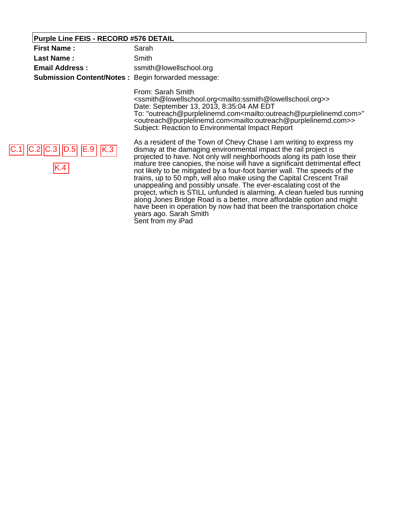#### **Purple Line FEIS - RECORD #576 DETAIL**

| Purple Line FEIS - RECORD #576 DETAIL                     |                                                                                                                                                                                                                                                                                                                                                                                                                                                                                                                                                                                                        |
|-----------------------------------------------------------|--------------------------------------------------------------------------------------------------------------------------------------------------------------------------------------------------------------------------------------------------------------------------------------------------------------------------------------------------------------------------------------------------------------------------------------------------------------------------------------------------------------------------------------------------------------------------------------------------------|
| <b>First Name:</b>                                        | Sarah                                                                                                                                                                                                                                                                                                                                                                                                                                                                                                                                                                                                  |
| <b>Last Name:</b>                                         | Smith                                                                                                                                                                                                                                                                                                                                                                                                                                                                                                                                                                                                  |
| <b>Email Address:</b>                                     | ssmith@lowellschool.org                                                                                                                                                                                                                                                                                                                                                                                                                                                                                                                                                                                |
| <b>Submission Content/Notes: Begin forwarded message:</b> |                                                                                                                                                                                                                                                                                                                                                                                                                                                                                                                                                                                                        |
|                                                           | From: Sarah Smith<br><ssmith@lowellschool.org<mailto:ssmith@lowellschool.org>&gt;<br/>Date: September 13, 2013, 8:35:04 AM EDT<br/>To: "outreach@purplelinemd.com<mailto:outreach@purplelinemd.com>"<br/><outreach@purplelinemd.com<mailto:outreach@purplelinemd.com>&gt;<br/>Subject: Reaction to Environmental Impact Report</outreach@purplelinemd.com<mailto:outreach@purplelinemd.com></mailto:outreach@purplelinemd.com></ssmith@lowellschool.org<mailto:ssmith@lowellschool.org>                                                                                                                |
| $ C.2 C.3 $ $ D.5 $ $ E.9 $ $ K.3 $<br>K.4                | As a resident of the Town of Chevy Chase I am writing to express my<br>dismay at the damaging environmental impact the rail project is<br>projected to have. Not only will neighborhoods along its path lose their<br>mature tree canopies, the noise will have a significant detrimental effect<br>not likely to be mitigated by a four-foot barrier wall. The speeds of the<br>trains, up to 50 mph, will also make using the Capital Crescent Trail<br>unappealing and possibly unsafe. The ever-escalating cost of the<br>project, which is STILL unfunded is alarming. A clean fueled bus running |

along Jones Bridge Road is a better, more affordable option and might have been in operation by now had that been the transportation choice ٦

years ago. Sarah Smith Sent from my iPad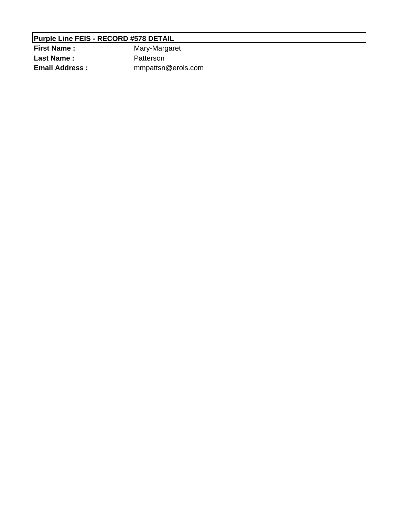# **Purple Line FEIS - RECORD #578 DETAIL**

| <b>First Name:</b>    | Mary-Margaret      |
|-----------------------|--------------------|
| Last Name :           | Patterson          |
| <b>Email Address:</b> | mmpattsn@erols.com |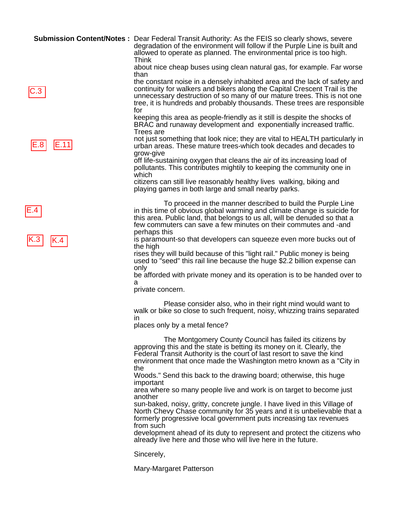|             | <b>Submission Content/Notes</b> : Dear Federal Transit Authority: As the FEIS so clearly shows, severe<br>degradation of the environment will follow if the Purple Line is built and                                                                                                      |
|-------------|-------------------------------------------------------------------------------------------------------------------------------------------------------------------------------------------------------------------------------------------------------------------------------------------|
|             | allowed to operate as planned. The environmental price is too high.<br>Think                                                                                                                                                                                                              |
|             | about nice cheap buses using clean natural gas, for example. Far worse<br>than                                                                                                                                                                                                            |
|             | the constant noise in a densely inhabited area and the lack of safety and                                                                                                                                                                                                                 |
|             | continuity for walkers and bikers along the Capital Crescent Trail is the<br>unnecessary destruction of so many of our mature trees. This is not one                                                                                                                                      |
|             | tree, it is hundreds and probably thousands. These trees are responsible<br>for                                                                                                                                                                                                           |
|             | keeping this area as people-friendly as it still is despite the shocks of<br>BRAC and runaway development and exponentially increased traffic.<br><b>Trees</b> are                                                                                                                        |
| E.11<br>E.8 | not just something that look nice; they are vital to HEALTH particularly in<br>urban areas. These mature trees-which took decades and decades to<br>grow-give                                                                                                                             |
|             | off life-sustaining oxygen that cleans the air of its increasing load of<br>pollutants. This contributes mightily to keeping the community one in<br>which                                                                                                                                |
|             | citizens can still live reasonably healthy lives walking, biking and<br>playing games in both large and small nearby parks.                                                                                                                                                               |
|             | To proceed in the manner described to build the Purple Line<br>in this time of obvious global warming and climate change is suicide for                                                                                                                                                   |
|             | this area. Public land, that belongs to us all, will be denuded so that a<br>few commuters can save a few minutes on their commutes and -and                                                                                                                                              |
|             | perhaps this<br>is paramount-so that developers can squeeze even more bucks out of                                                                                                                                                                                                        |
| K.4         | the high                                                                                                                                                                                                                                                                                  |
|             | rises they will build because of this "light rail." Public money is being<br>used to "seed" this rail line because the huge \$2.2 billion expense can                                                                                                                                     |
|             | only<br>be afforded with private money and its operation is to be handed over to                                                                                                                                                                                                          |
|             | а<br>private concern.                                                                                                                                                                                                                                                                     |
|             | Please consider also, who in their right mind would want to<br>walk or bike so close to such frequent, noisy, whizzing trains separated                                                                                                                                                   |
|             | ın<br>places only by a metal fence?                                                                                                                                                                                                                                                       |
|             | The Montgomery County Council has failed its citizens by<br>approving this and the state is betting its money on it. Clearly, the<br>Federal Transit Authority is the court of last resort to save the kind<br>environment that once made the Washington metro known as a "City in<br>the |
|             | Woods." Send this back to the drawing board; otherwise, this huge                                                                                                                                                                                                                         |
|             | important<br>area where so many people live and work is on target to become just                                                                                                                                                                                                          |
|             | another<br>sun-baked, noisy, gritty, concrete jungle. I have lived in this Village of<br>North Chevy Chase community for 35 years and it is unbelievable that a<br>formerly progressive local government puts increasing tax revenues                                                     |
|             | from such<br>development ahead of its duty to represent and protect the citizens who<br>already live here and those who will live here in the future.                                                                                                                                     |
|             | Sincerely,                                                                                                                                                                                                                                                                                |

Mary-Margaret Patterson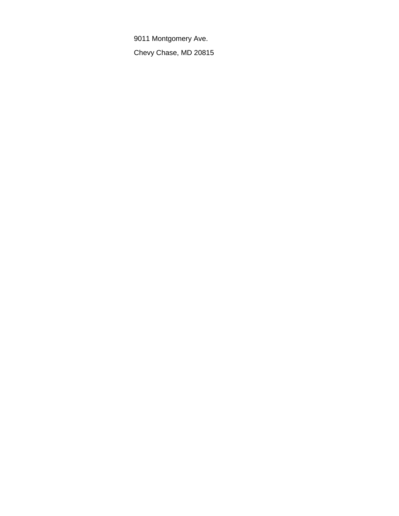9011 Montgomery Ave.

Chevy Chase, MD 20815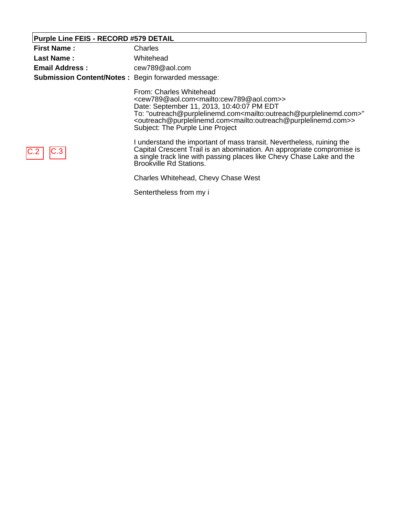# **Purple Line FEIS - RECORD #579 DETAIL**

| <b>First Name:</b>                                        | Charles                                                                                                                                                                                                                                                                                                                                                                                                                                    |
|-----------------------------------------------------------|--------------------------------------------------------------------------------------------------------------------------------------------------------------------------------------------------------------------------------------------------------------------------------------------------------------------------------------------------------------------------------------------------------------------------------------------|
| <b>Last Name:</b>                                         | Whitehead                                                                                                                                                                                                                                                                                                                                                                                                                                  |
| <b>Email Address:</b>                                     | cew789@aol.com                                                                                                                                                                                                                                                                                                                                                                                                                             |
| <b>Submission Content/Notes: Begin forwarded message:</b> |                                                                                                                                                                                                                                                                                                                                                                                                                                            |
|                                                           | From: Charles Whitehead<br><cew789@aol.com<mailto:cew789@aol.com>&gt;<br/>Date: September 11, 2013, 10:40:07 PM EDT<br/>To: "outreach@purplelinemd.com<mailto:outreach@purplelinemd.com>"<br/><outreach@purplelinemd.com<mailto:outreach@purplelinemd.com>&gt;<br/>Subject: The Purple Line Project</outreach@purplelinemd.com<mailto:outreach@purplelinemd.com></mailto:outreach@purplelinemd.com></cew789@aol.com<mailto:cew789@aol.com> |
|                                                           | I understand the important of mass transit. Nevertheless, ruining the<br>Capital Crescent Trail is an abomination. An appropriate compromise is<br>a single track line with passing places like Chevy Chase Lake and the<br><b>Brookville Rd Stations.</b>                                                                                                                                                                                 |
|                                                           | Charles Whitehead, Chevy Chase West                                                                                                                                                                                                                                                                                                                                                                                                        |
|                                                           | Sentertheless from my i                                                                                                                                                                                                                                                                                                                                                                                                                    |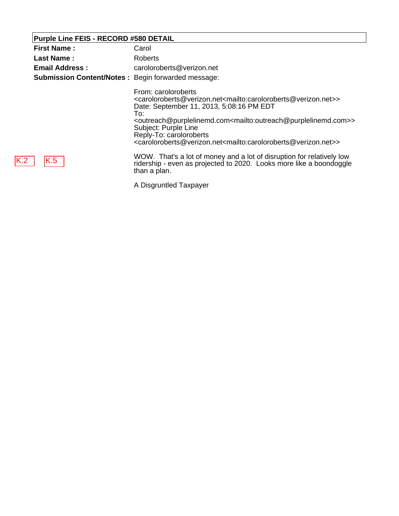## **Purple Line FEIS - RECORD #580 DETAIL**

| <b>First Name:</b>                                        | Carol                                                                                                                                                                                                                                                                                                                                                                                                                                                                                                                              |
|-----------------------------------------------------------|------------------------------------------------------------------------------------------------------------------------------------------------------------------------------------------------------------------------------------------------------------------------------------------------------------------------------------------------------------------------------------------------------------------------------------------------------------------------------------------------------------------------------------|
| Last Name:                                                | Roberts                                                                                                                                                                                                                                                                                                                                                                                                                                                                                                                            |
| <b>Email Address:</b>                                     | caroloroberts@verizon.net                                                                                                                                                                                                                                                                                                                                                                                                                                                                                                          |
| <b>Submission Content/Notes: Begin forwarded message:</b> |                                                                                                                                                                                                                                                                                                                                                                                                                                                                                                                                    |
|                                                           | From: caroloroberts<br><caroloroberts@verizon.net<mailto:caroloroberts@verizon.net>&gt;<br/>Date: September 11, 2013, 5:08:16 PM EDT<br/>To:<br/><outreach@purplelinemd.com<mailto:outreach@purplelinemd.com>&gt;<br/>Subject: Purple Line<br/>Reply-To: caroloroberts<br/><caroloroberts@verizon.net<mailto:caroloroberts@verizon.net>&gt;</caroloroberts@verizon.net<mailto:caroloroberts@verizon.net></outreach@purplelinemd.com<mailto:outreach@purplelinemd.com></caroloroberts@verizon.net<mailto:caroloroberts@verizon.net> |
| K.5                                                       | WOW. That's a lot of money and a lot of disruption for relatively low<br>ridership - even as projected to 2020. Looks more like a boondoggle<br>than a plan.                                                                                                                                                                                                                                                                                                                                                                       |
|                                                           |                                                                                                                                                                                                                                                                                                                                                                                                                                                                                                                                    |

A Disgruntled Taxpayer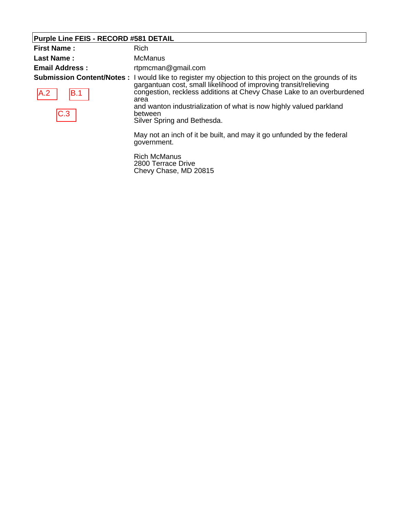## **Purple Line FEIS - RECORD #581 DETAIL**

| <b>First Name:</b>    | Rich                                                                                                                                                                                                                                                                                                                                                                                                     |
|-----------------------|----------------------------------------------------------------------------------------------------------------------------------------------------------------------------------------------------------------------------------------------------------------------------------------------------------------------------------------------------------------------------------------------------------|
| <b>Last Name:</b>     | McManus                                                                                                                                                                                                                                                                                                                                                                                                  |
| <b>Email Address:</b> | rtpmcman@gmail.com<br><b>Submission Content/Notes</b> : I would like to register my objection to this project on the grounds of its<br>gargantuan cost, small likelihood of improving transit/relieving<br>congestion, reckless additions at Chevy Chase Lake to an overburdened<br>area<br>and wanton industrialization of what is now highly valued parkland<br>between<br>Silver Spring and Bethesda. |
| A.2 <br>IB.1<br> C.3  |                                                                                                                                                                                                                                                                                                                                                                                                          |
|                       | May not an inch of it be built, and may it go unfunded by the federal<br>government.                                                                                                                                                                                                                                                                                                                     |
|                       | --------                                                                                                                                                                                                                                                                                                                                                                                                 |

Rich McManus 2800 Terrace Drive Chevy Chase, MD 20815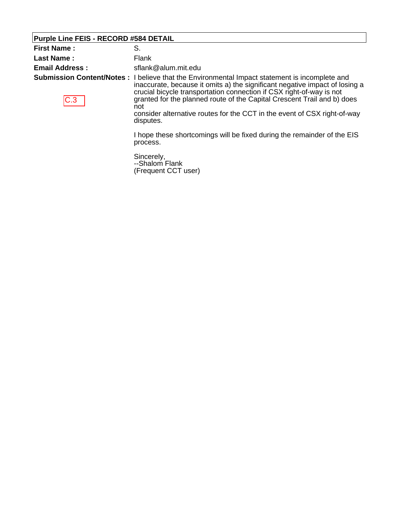## **Purple Line FEIS - RECORD #584 DETAIL**

| <b>First Name:</b>                       | S.                                                                                                                                                                                                                                                                                                                                                                                                    |
|------------------------------------------|-------------------------------------------------------------------------------------------------------------------------------------------------------------------------------------------------------------------------------------------------------------------------------------------------------------------------------------------------------------------------------------------------------|
| <b>Last Name:</b>                        | Flank                                                                                                                                                                                                                                                                                                                                                                                                 |
| <b>Email Address:</b>                    | sflank@alum.mit.edu                                                                                                                                                                                                                                                                                                                                                                                   |
| <b>Submission Content/Notes:</b><br> C.3 | I believe that the Environmental Impact statement is incomplete and<br>inaccurate, because it omits a) the significant negative impact of losing a<br>crucial bicycle transportation connection if CSX right-of-way is not<br>granted for the planned route of the Capital Crescent Trail and b) does<br>not<br>consider alternative routes for the CCT in the event of CSX right-of-way<br>disputes. |
|                                          | I hope these shortcomings will be fixed during the remainder of the EIS<br>process.                                                                                                                                                                                                                                                                                                                   |
|                                          | Sincerely,<br>--Shalom Flank<br>(Frequent CCT user)                                                                                                                                                                                                                                                                                                                                                   |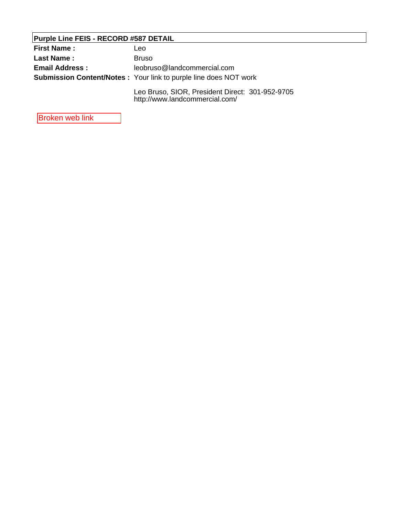## **Purple Line FEIS - RECORD #587 DETAIL**

| <b>First Name :</b>   | Leo                                                                               |
|-----------------------|-----------------------------------------------------------------------------------|
| <b>Last Name:</b>     | <b>Bruso</b>                                                                      |
| <b>Email Address:</b> | leobruso@landcommercial.com                                                       |
|                       | <b>Submission Content/Notes:</b> Your link to purple line does NOT work           |
|                       | Leo Bruso, SIOR, President Direct: 301-952-9705<br>http://www.landcommercial.com/ |

Broken web link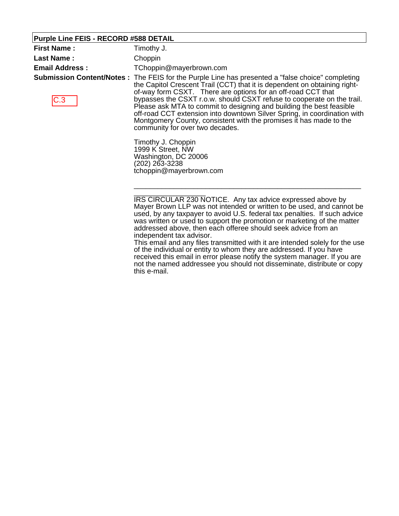#### **Purple Line FEIS - RECORD #588 DETAIL**

| <b>First Name:</b>    | Timothy J.                                                                                                                                                                                                                                                                                                                                                                                                                                                                                                                                                                                   |
|-----------------------|----------------------------------------------------------------------------------------------------------------------------------------------------------------------------------------------------------------------------------------------------------------------------------------------------------------------------------------------------------------------------------------------------------------------------------------------------------------------------------------------------------------------------------------------------------------------------------------------|
| Last Name:            | Choppin                                                                                                                                                                                                                                                                                                                                                                                                                                                                                                                                                                                      |
| <b>Email Address:</b> | TChoppin@mayerbrown.com                                                                                                                                                                                                                                                                                                                                                                                                                                                                                                                                                                      |
| C.3                   | <b>Submission Content/Notes</b> : The FEIS for the Purple Line has presented a "false choice" completing<br>the Capitol Crescent Trail (CCT) that it is dependent on obtaining right-<br>of-way form CSXT. There are options for an off-road CCT that<br>bypasses the CSXT r.o.w. should CSXT refuse to cooperate on the trail.<br>Please ask MTA to commit to designing and building the best feasible<br>off-road CCT extension into downtown Silver Spring, in coordination with<br>Montgomery County, consistent with the promises it has made to the<br>community for over two decades. |
|                       | Timothy J. Choppin<br>1999 K Street, NW<br>Washington, DC 20006<br>(202) 263-3238<br>tchoppin@mayerbrown.com                                                                                                                                                                                                                                                                                                                                                                                                                                                                                 |

IRS CIRCULAR 230 NOTICE. Any tax advice expressed above by Mayer Brown LLP was not intended or written to be used, and cannot be used, by any taxpayer to avoid U.S. federal tax penalties. If such advice was written or used to support the promotion or marketing of the matter addressed above, then each offeree should seek advice from an independent tax advisor.

This email and any files transmitted with it are intended solely for the use of the individual or entity to whom they are addressed. If you have received this email in error please notify the system manager. If you are not the named addressee you should not disseminate, distribute or copy this e-mail.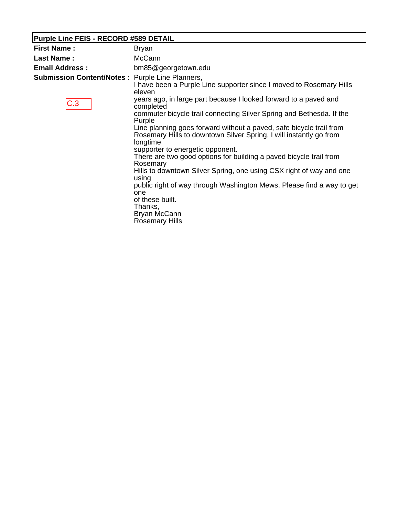## **Purple Line FEIS - RECORD #589 DETAIL**

| Bryan                                                                                                                                                 |
|-------------------------------------------------------------------------------------------------------------------------------------------------------|
| <b>McCann</b>                                                                                                                                         |
| bm85@georgetown.edu                                                                                                                                   |
| <b>Submission Content/Notes: Purple Line Planners,</b><br>I have been a Purple Line supporter since I moved to Rosemary Hills<br>eleven               |
| years ago, in large part because I looked forward to a paved and<br>completed                                                                         |
| commuter bicycle trail connecting Silver Spring and Bethesda. If the<br>Purple                                                                        |
| Line planning goes forward without a paved, safe bicycle trail from<br>Rosemary Hills to downtown Silver Spring, I will instantly go from<br>longtime |
| supporter to energetic opponent.<br>There are two good options for building a paved bicycle trail from<br>Rosemary                                    |
| Hills to downtown Silver Spring, one using CSX right of way and one<br>using                                                                          |
| public right of way through Washington Mews. Please find a way to get<br>one<br>of these built.<br>Thanks,<br>Bryan McCann<br><b>Rosemary Hills</b>   |
|                                                                                                                                                       |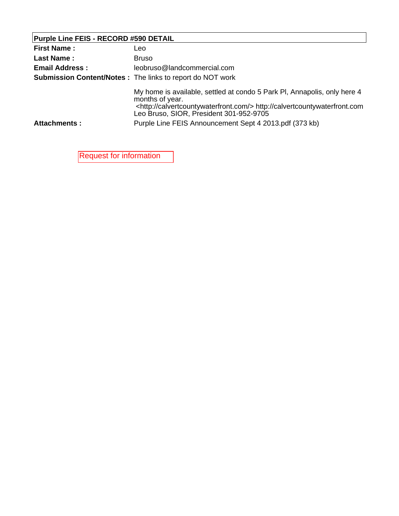## **Purple Line FEIS - RECORD #590 DETAIL**

| <b>First Name:</b>    | Leo                                                                                                                                                                                                                         |
|-----------------------|-----------------------------------------------------------------------------------------------------------------------------------------------------------------------------------------------------------------------------|
| <b>Last Name:</b>     | <b>Bruso</b>                                                                                                                                                                                                                |
| <b>Email Address:</b> | leobruso@landcommercial.com                                                                                                                                                                                                 |
|                       | <b>Submission Content/Notes: The links to report do NOT work</b>                                                                                                                                                            |
|                       | My home is available, settled at condo 5 Park PI, Annapolis, only here 4<br>months of year.<br><http: calvertcountywaterfront.com=""></http:> http://calvertcountywaterfront.com<br>Leo Bruso, SIOR, President 301-952-9705 |
| <b>Attachments:</b>   | Purple Line FEIS Announcement Sept 4 2013.pdf (373 kb)                                                                                                                                                                      |

Request for information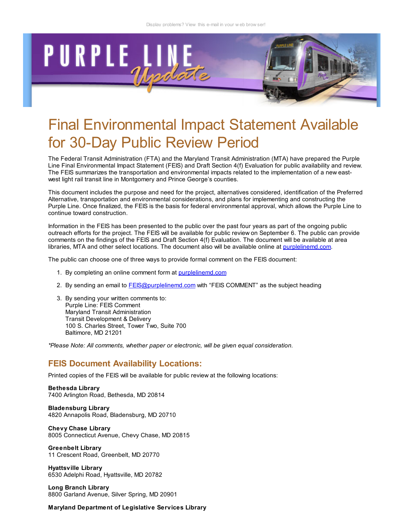

# Final Environmental Impact Statement Available for 30-Day Public Review Period

The Federal Transit Administration (FTA) and the Maryland Transit Administration (MTA) have prepared the Purple Line Final Environmental Impact Statement (FEIS) and Draft Section 4(f) Evaluation for public availability and review. The FEIS summarizes the transportation and environmental impacts related to the implementation of a new eastwest light rail transit line in Montgomery and Prince George's counties.

This document includes the purpose and need for the project, alternatives considered, identification of the Preferred Alternative, transportation and environmental considerations, and plans for implementing and constructing the Purple Line. Once finalized, the FEIS is the basis for federal environmental approval, which allows the Purple Line to continue toward construction.

Information in the FEIS has been presented to the public over the past four years as part of the ongoing public outreach efforts for the project. The FEIS will be available for public review on September 6. The public can provide comments on the findings of the FEIS and Draft Section 4(f) Evaluation. The document will be available at area libraries, MTA and other select locations. The document also will be available online at purplelinemd.com.

The public can choose one of three ways to provide formal comment on the FEIS document:

- 1. By completing an online comment form at purplelinemd.com
- 2. By sending an email to FEIS@purplelinemd.com with "FEIS COMMENT" as the subject heading
- 3. By sending your written comments to: Purple Line: FEIS Comment Maryland Transit Administration Transit Development & Delivery 100 S. Charles Street, Tower Two, Suite 700 Baltimore, MD 21201

\*Please Note: All comments, whether paper or electronic, will be given equal consideration.

#### FEIS Document Availability Locations:

Printed copies of the FEIS will be available for public review at the following locations:

Bethesda Library 7400 Arlington Road, Bethesda, MD 20814

Bladensburg Library 4820 Annapolis Road, Bladensburg, MD 20710

Chevy Chase Library 8005 Connecticut Avenue, Chevy Chase, MD 20815

Greenbelt Library 11 Crescent Road, Greenbelt, MD 20770

Hyattsville Library 6530 Adelphi Road, Hyattsville, MD 20782

Long Branch Library 8800 Garland Avenue, Silver Spring, MD 20901

#### Maryland Department of Legislative Services Library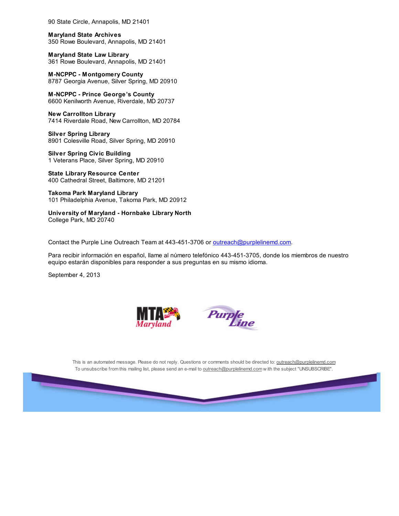90 State Circle, Annapolis, MD 21401

Maryland State Archives 350 Rowe Boulevard, Annapolis, MD 21401

Maryland State Law Library 361 Rowe Boulevard, Annapolis, MD 21401

M-NCPPC - Montgomery County 8787 Georgia Avenue, Silver Spring, MD 20910

M-NCPPC - Prince George's County 6600 Kenilworth Avenue, Riverdale, MD 20737

New Carrollton Library 7414 Riverdale Road, New Carrollton, MD 20784

Silver Spring Library 8901 Colesville Road, Silver Spring, MD 20910

Silver Spring Civic Building 1 Veterans Place, Silver Spring, MD 20910

State Library Resource Center 400 Cathedral Street, Baltimore, MD 21201

Takoma Park Maryland Library 101 Philadelphia Avenue, Takoma Park, MD 20912

University of Maryland - Hornbake Library North College Park, MD 20740

Contact the Purple Line Outreach Team at 443-451-3706 or outreach@purplelinemd.com.

Para recibir información en español, llame al número telefónico 443-451-3705, donde los miembros de nuestro equipo estarán disponibles para responder a sus preguntas en su mismo idioma.

September 4, 2013





This is an automated message. Please do not reply. Questions or comments should be directed to: outreach@purplelinemd.com To unsubscribe from this mailing list, please send an e-mail to outreach@purplelinemd.com w ith the subject "UNSUBSCRIBE".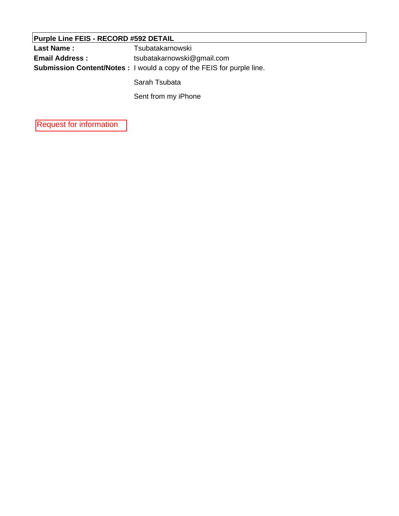| <b>Purple Line FEIS - RECORD #592 DETAIL</b> |                                                                              |  |
|----------------------------------------------|------------------------------------------------------------------------------|--|
| <b>Last Name:</b>                            | Tsubatakarnowski                                                             |  |
| <b>Email Address :</b>                       | tsubatakarnowski@gmail.com                                                   |  |
|                                              | <b>Submission Content/Notes:</b> I would a copy of the FEIS for purple line. |  |
|                                              | Sarah Tsubata                                                                |  |

Saran Tsubata

Sent from my iPhone

Request for information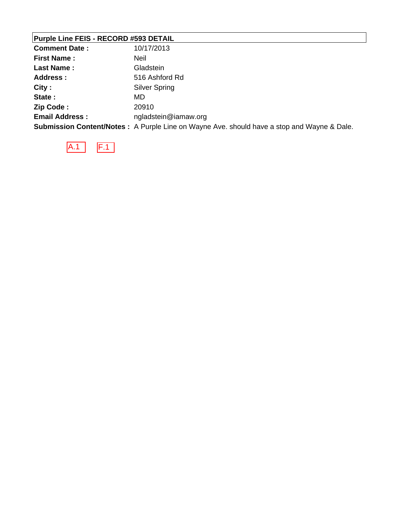## **Purple Line FEIS - RECORD #593 DETAIL**

| <b>Comment Date:</b>  | 10/17/2013                                                                                         |
|-----------------------|----------------------------------------------------------------------------------------------------|
| <b>First Name:</b>    | <b>Neil</b>                                                                                        |
| <b>Last Name:</b>     | Gladstein                                                                                          |
| <b>Address:</b>       | 516 Ashford Rd                                                                                     |
| City:                 | <b>Silver Spring</b>                                                                               |
| State:                | MD                                                                                                 |
| Zip Code:             | 20910                                                                                              |
| <b>Email Address:</b> | ngladstein@iamaw.org                                                                               |
|                       | <b>Submission Content/Notes</b> : A Purple Line on Wayne Ave. should have a stop and Wayne & Dale. |

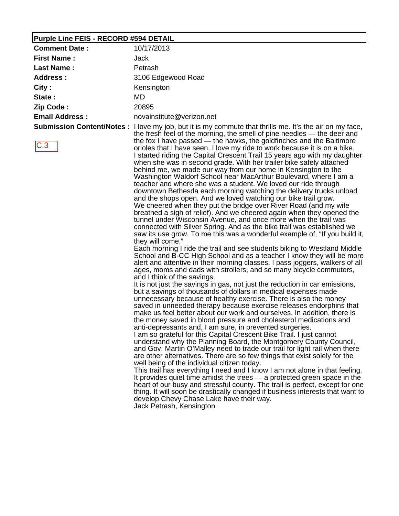#### **Purple Line FEIS - RECORD #594 DETAIL**

| <b>Comment Date:</b>  | 10/17/2013                                                                                                                                                                                                                                                                                                                                                                                                                                                                                                                                                                                     |
|-----------------------|------------------------------------------------------------------------------------------------------------------------------------------------------------------------------------------------------------------------------------------------------------------------------------------------------------------------------------------------------------------------------------------------------------------------------------------------------------------------------------------------------------------------------------------------------------------------------------------------|
| <b>First Name:</b>    | Jack                                                                                                                                                                                                                                                                                                                                                                                                                                                                                                                                                                                           |
| <b>Last Name:</b>     | Petrash                                                                                                                                                                                                                                                                                                                                                                                                                                                                                                                                                                                        |
| <b>Address:</b>       | 3106 Edgewood Road                                                                                                                                                                                                                                                                                                                                                                                                                                                                                                                                                                             |
| City:                 | Kensington                                                                                                                                                                                                                                                                                                                                                                                                                                                                                                                                                                                     |
| State:                | MD.                                                                                                                                                                                                                                                                                                                                                                                                                                                                                                                                                                                            |
| Zip Code:             | 20895                                                                                                                                                                                                                                                                                                                                                                                                                                                                                                                                                                                          |
| <b>Email Address:</b> | novainstitute@verizon.net                                                                                                                                                                                                                                                                                                                                                                                                                                                                                                                                                                      |
|                       | <b>Submission Content/Notes</b> : I love my job, but it is my commute that thrills me. It's the air on my face,<br>the fresh feel of the morning, the smell of pine needles — the deer and                                                                                                                                                                                                                                                                                                                                                                                                     |
| C.3                   | the fox I have passed — the hawks, the goldfinches and the Baltimore<br>orioles that I have seen. I love my ride to work because it is on a bike.<br>I started riding the Capital Crescent Trail 15 years ago with my daughter<br>when she was in second grade. With her trailer bike safely attached<br>behind me, we made our way from our home in Kensington to the<br>Washington Waldorf School near MacArthur Boulevard, where I am a<br>teacher and where she was a student. We loved our ride through<br>المعملون وبامنسه بسوبنامام وواء سونطوان سوينوسومسطوم وامومطام المستوان والمستح |

downtown Bethesda each morning watching the delivery trucks unload and the shops open. And we loved watching our bike trail grow. We cheered when they put the bridge over River Road (and my wife breathed a sigh of relief). And we cheered again when they opened the tunnel under Wisconsin Avenue, and once more when the trail was connected with Silver Spring. And as the bike trail was established we saw its use grow. To me this was a wonderful example of, "If you build it, they will come."

Each morning I ride the trail and see students biking to Westland Middle School and B-CC High School and as a teacher I know they will be more alert and attentive in their morning classes. I pass joggers, walkers of all ages, moms and dads with strollers, and so many bicycle commuters, and I think of the savings.

It is not just the savings in gas, not just the reduction in car emissions, but a savings of thousands of dollars in medical expenses made unnecessary because of healthy exercise. There is also the money saved in unneeded therapy because exercise releases endorphins that make us feel better about our work and ourselves. In addition, there is the money saved in blood pressure and cholesterol medications and anti-depressants and, I am sure, in prevented surgeries.

I am so grateful for this Capital Crescent Bike Trail. I just cannot understand why the Planning Board, the Montgomery County Council, and Gov. Martin O'Malley need to trade our trail for light rail when there are other alternatives. There are so few things that exist solely for the well being of the individual citizen today.

This trail has everything I need and I know I am not alone in that feeling. It provides quiet time amidst the trees — a protected green space in the heart of our busy and stressful county. The trail is perfect, except for one thing. It will soon be drastically changed if business interests that want to develop Chevy Chase Lake have their way.

Jack Petrash, Kensington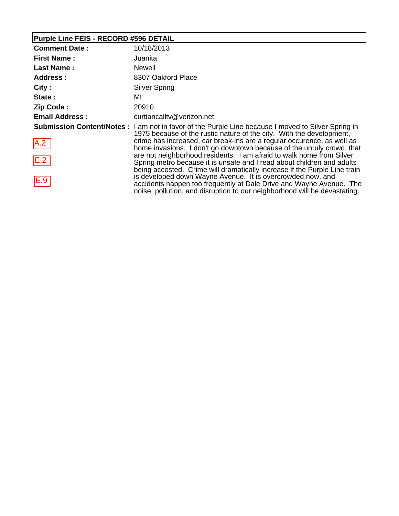## **Purple Line FEIS - RECORD #596 DETAIL**

| <b>Comment Date:</b>  | 10/18/2013                                                                                                                                                                                                                                                   |
|-----------------------|--------------------------------------------------------------------------------------------------------------------------------------------------------------------------------------------------------------------------------------------------------------|
| <b>First Name:</b>    | Juanita                                                                                                                                                                                                                                                      |
| <b>Last Name:</b>     | <b>Newell</b>                                                                                                                                                                                                                                                |
| <b>Address:</b>       | 8307 Oakford Place                                                                                                                                                                                                                                           |
| City:                 | <b>Silver Spring</b>                                                                                                                                                                                                                                         |
| State:                | MI                                                                                                                                                                                                                                                           |
| Zip Code:             | 20910                                                                                                                                                                                                                                                        |
| <b>Email Address:</b> | curtiancalltv@verizon.net                                                                                                                                                                                                                                    |
|                       | <b>Submission Content/Notes</b> : I am not in favor of the Purple Line because I moved to Silver Spring in<br>1975 because of the rustic nature of the city. With the development,<br>crime has increased, car break-ins are a regular occurence, as well as |
| A.2                   | home invasions. I don't go downtown because of the unruly crowd, that                                                                                                                                                                                        |
| E.2                   | are not neighborhood residents. I am afraid to walk home from Silver<br>Spring metro because it is unsafe and I read about children and adults<br>being accosted. Crime will dramatically increase if the Purple Line train                                  |
| E.9                   | is developed down Wayne Avenue. It is overcrowded now, and<br>accidents happen too frequently at Dale Drive and Wayne Avenue. The<br>noise, pollution, and disruption to our neighborhood will be devastating.                                               |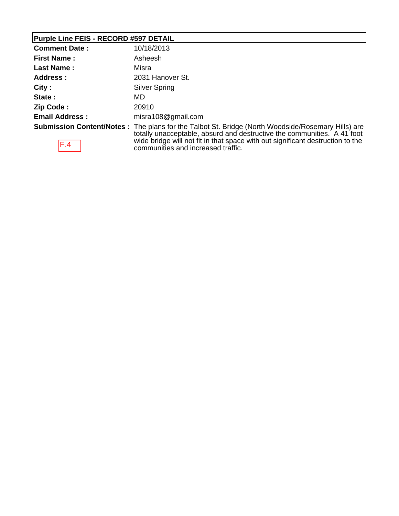## **Purple Line FEIS - RECORD #597 DETAIL**

| <b>Comment Date:</b>  | 10/18/2013                                                                                                                                                                           |
|-----------------------|--------------------------------------------------------------------------------------------------------------------------------------------------------------------------------------|
| <b>First Name:</b>    | Asheesh                                                                                                                                                                              |
| <b>Last Name:</b>     | Misra                                                                                                                                                                                |
| <b>Address:</b>       | 2031 Hanover St.                                                                                                                                                                     |
| City:                 | <b>Silver Spring</b>                                                                                                                                                                 |
| State:                | MD                                                                                                                                                                                   |
| Zip Code:             | 20910                                                                                                                                                                                |
| <b>Email Address:</b> | misra108@gmail.com                                                                                                                                                                   |
|                       | <b>Submission Content/Notes</b> : The plans for the Talbot St. Bridge (North Woodside/Rosemary Hills) are<br>totally unacceptable, absurd and destructive the communities. A 41 foot |
| $\Gamma$ $\Lambda$    | wide bridge will not fit in that space with out significant destruction to the                                                                                                       |



wide bridge will not fit in that space with out significant destruction to the communities and increased traffic.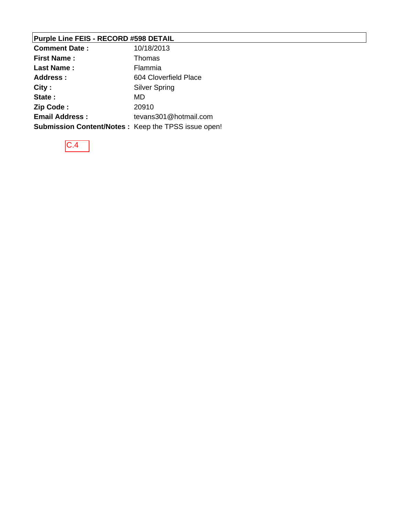## **Purple Line FEIS - RECORD #598 DETAIL**

| <b>Comment Date:</b>                                       | 10/18/2013            |
|------------------------------------------------------------|-----------------------|
| <b>First Name:</b>                                         | Thomas                |
| Last Name:                                                 | Flammia               |
| Address :                                                  | 604 Cloverfield Place |
| City:                                                      | <b>Silver Spring</b>  |
| State:                                                     | MD                    |
| Zip Code:                                                  | 20910                 |
| <b>Email Address:</b>                                      | tevans301@hotmail.com |
| <b>Submission Content/Notes: Keep the TPSS issue open!</b> |                       |

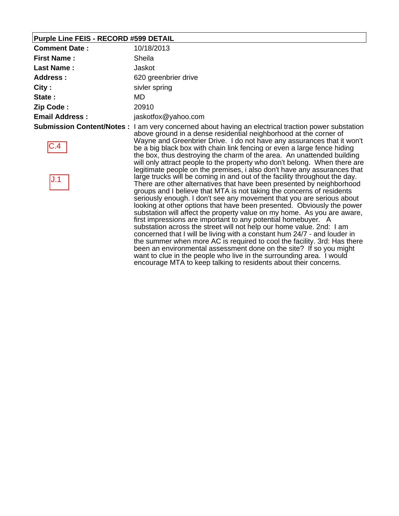### **Purple Line FEIS - RECORD #599 DETAIL**

| <b>Comment Date:</b>  | 10/18/2013                                                                                                                                                                                                                                                                                                                                                                                                                                                                                                                                                                                          |
|-----------------------|-----------------------------------------------------------------------------------------------------------------------------------------------------------------------------------------------------------------------------------------------------------------------------------------------------------------------------------------------------------------------------------------------------------------------------------------------------------------------------------------------------------------------------------------------------------------------------------------------------|
| <b>First Name:</b>    | Sheila                                                                                                                                                                                                                                                                                                                                                                                                                                                                                                                                                                                              |
| <b>Last Name:</b>     | Jaskot                                                                                                                                                                                                                                                                                                                                                                                                                                                                                                                                                                                              |
| <b>Address:</b>       | 620 greenbrier drive                                                                                                                                                                                                                                                                                                                                                                                                                                                                                                                                                                                |
| City:                 | sivler spring                                                                                                                                                                                                                                                                                                                                                                                                                                                                                                                                                                                       |
| State:                | MD.                                                                                                                                                                                                                                                                                                                                                                                                                                                                                                                                                                                                 |
| Zip Code:             | 20910                                                                                                                                                                                                                                                                                                                                                                                                                                                                                                                                                                                               |
| <b>Email Address:</b> | jaskotfox@yahoo.com                                                                                                                                                                                                                                                                                                                                                                                                                                                                                                                                                                                 |
| C.4                   | <b>Submission Content/Notes</b> : I am very concerned about having an electrical traction power substation<br>above ground in a dense residential neighborhood at the corner of<br>Wayne and Greenbrier Drive. I do not have any assurances that it won't<br>be a big black box with chain link fencing or even a large fence hiding<br>the box, thus destroying the charm of the area. An unattended building<br>will only attract people to the property who don't belong. When there are<br>legitimate people on the premises, i also don't have any assurances that                             |
| J.1                   | large trucks will be coming in and out of the facility throughout the day.<br>There are other alternatives that have been presented by neighborhood<br>groups and I believe that MTA is not taking the concerns of residents<br>seriously enough. I don't see any movement that you are serious about<br>looking at other options that have been presented. Obviously the power<br>substation will affect the property value on my home. As you are aware,<br>first impressions are important to any potential homebuyer. A<br>substation across the street will not help our home value. 2nd: 1 am |

substation across the street will not help our home value. 2nd: I am concerned that I will be living with a constant hum 24/7 - and louder in the summer when more AC is required to cool the facility. 3rd: Has there been an environmental assessment done on the site? If so you might want to clue in the people who live in the surrounding area. I would encourage MTA to keep talking to residents about their concerns.